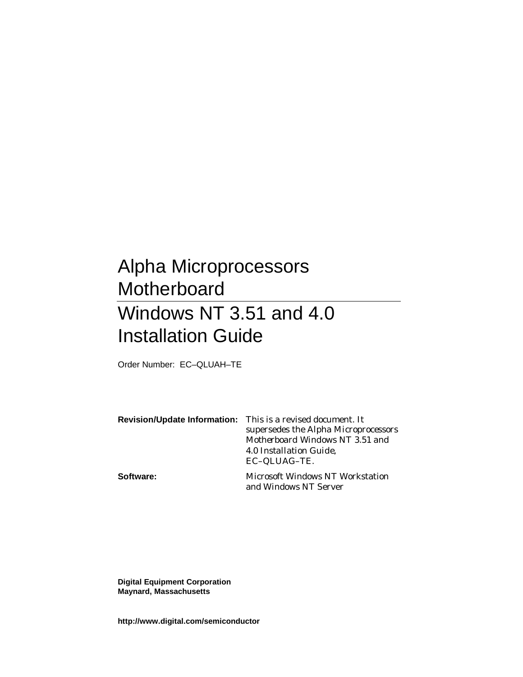# Alpha Microprocessors **Motherboard** Windows NT 3.51 and 4.0 Installation Guide

Order Number: EC–QLUAH–TE

|           | <b>Revision/Update Information:</b> This is a revised document. It<br>supersedes the Alpha Microprocessors<br>Motherboard Windows NT 3.51 and<br>4.0 Installation Guide,<br>EC-QLUAG-TE. |
|-----------|------------------------------------------------------------------------------------------------------------------------------------------------------------------------------------------|
| Software: | Microsoft Windows NT Workstation<br>and Windows NT Server                                                                                                                                |

**Digital Equipment Corporation Maynard, Massachusetts**

**http://www.digital.com/semiconductor**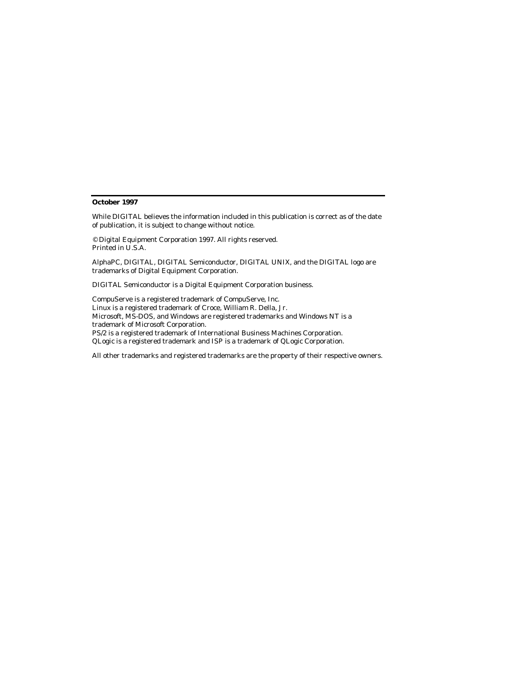#### **October 1997**

While DIGITAL believes the information included in this publication is correct as of the date of publication, it is subject to change without notice.

© Digital Equipment Corporation 1997. All rights reserved. Printed in U.S.A.

AlphaPC, DIGITAL, DIGITAL Semiconductor, DIGITAL UNIX, and the DIGITAL logo are trademarks of Digital Equipment Corporation.

DIGITAL Semiconductor is a Digital Equipment Corporation business.

CompuServe is a registered trademark of CompuServe, Inc. Linux is a registered trademark of Croce, William R. Della, Jr. Microsoft, MS-DOS, and Windows are registered trademarks and Windows NT is a trademark of Microsoft Corporation. PS/2 is a registered trademark of International Business Machines Corporation. QLogic is a registered trademark and ISP is a trademark of QLogic Corporation.

All other trademarks and registered trademarks are the property of their respective owners.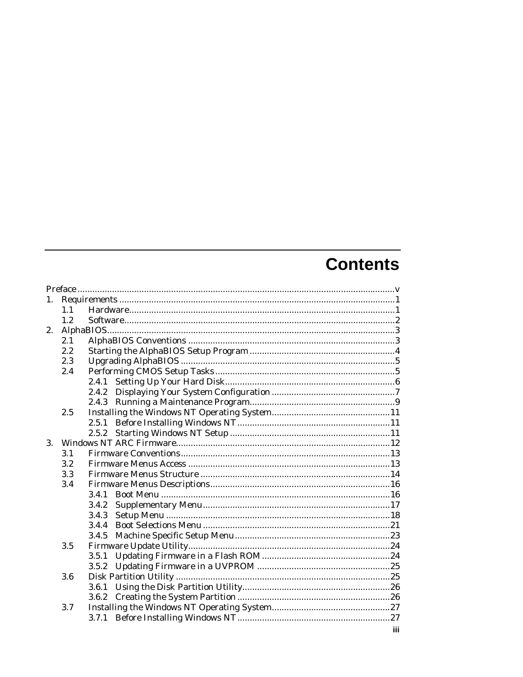# **Contents**

| 1.<br>1.1<br>1.2 |     |
|------------------|-----|
|                  |     |
|                  |     |
|                  |     |
| 2.               |     |
| 2.1              |     |
| 2.2              |     |
| 2.3              |     |
| 2.4              |     |
|                  |     |
|                  |     |
|                  |     |
| 2.5              |     |
|                  |     |
| 2.5.2            |     |
| 3.               |     |
| 3.1              |     |
| 3.2              |     |
| 3.3              |     |
| 3.4              |     |
| 3.4.1            |     |
| 3.4.2            |     |
| 3.4.3            |     |
|                  |     |
| 3.4.5            |     |
| 3.5              |     |
| 3.5.1            |     |
|                  |     |
| 3.6              |     |
|                  |     |
| 3.6.2            |     |
| 3.7              |     |
|                  |     |
|                  | iii |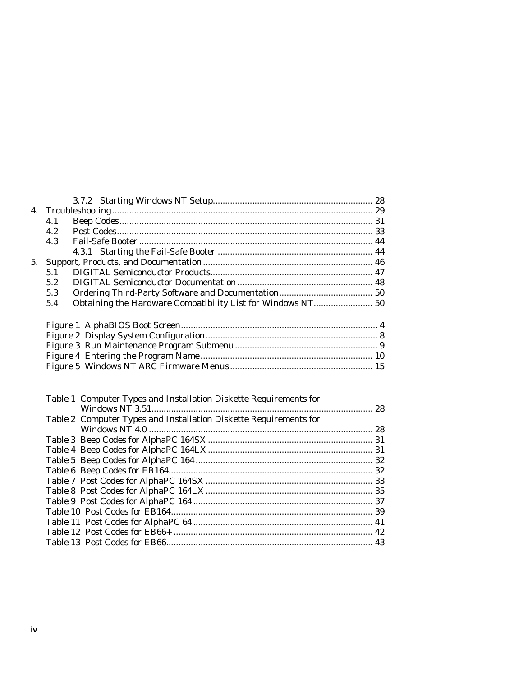| 4.1 |                                                             |  |
|-----|-------------------------------------------------------------|--|
| 4.2 |                                                             |  |
| 4.3 |                                                             |  |
|     |                                                             |  |
| 5.  |                                                             |  |
| 5.1 |                                                             |  |
| 5.2 |                                                             |  |
| 5.3 |                                                             |  |
| 5.4 | Obtaining the Hardware Compatibility List for Windows NT 50 |  |
|     |                                                             |  |

| Table 1 Computer Types and Installation Diskette Requirements for |  |
|-------------------------------------------------------------------|--|
|                                                                   |  |
| Table 2 Computer Types and Installation Diskette Requirements for |  |
|                                                                   |  |
|                                                                   |  |
|                                                                   |  |
|                                                                   |  |
|                                                                   |  |
|                                                                   |  |
|                                                                   |  |
|                                                                   |  |
|                                                                   |  |
|                                                                   |  |
|                                                                   |  |
|                                                                   |  |
|                                                                   |  |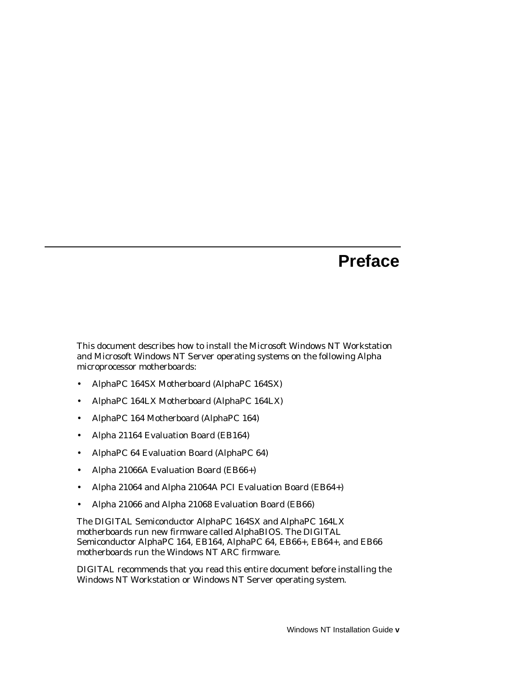# **Preface**

This document describes how to install the Microsoft Windows NT Workstation and Microsoft Windows NT Server operating systems on the following Alpha microprocessor motherboards:

- AlphaPC 164SX Motherboard (AlphaPC 164SX)
- AlphaPC 164LX Motherboard (AlphaPC 164LX)
- AlphaPC 164 Motherboard (AlphaPC 164)
- Alpha 21164 Evaluation Board (EB164)
- AlphaPC 64 Evaluation Board (AlphaPC 64)
- Alpha 21066A Evaluation Board (EB66+)
- Alpha 21064 and Alpha 21064A PCI Evaluation Board (EB64+)
- Alpha 21066 and Alpha 21068 Evaluation Board (EB66)

The DIGITAL Semiconductor AlphaPC 164SX and AlphaPC 164LX motherboards run new firmware called AlphaBIOS. The DIGITAL Semiconductor AlphaPC 164, EB164, AlphaPC 64, EB66+, EB64+, and EB66 motherboards run the Windows NT ARC firmware.

DIGITAL recommends that you read this entire document before installing the Windows NT Workstation or Windows NT Server operating system.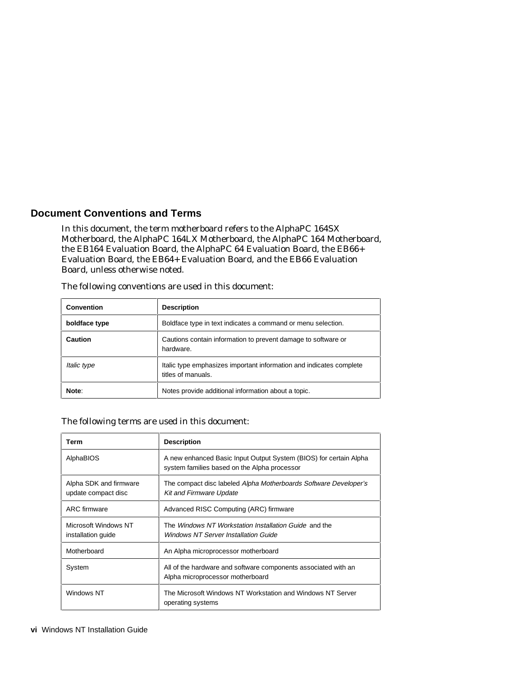## **Document Conventions and Terms**

In this document, the term motherboard refers to the AlphaPC 164SX Motherboard, the AlphaPC 164LX Motherboard, the AlphaPC 164 Motherboard, the EB164 Evaluation Board, the AlphaPC 64 Evaluation Board, the EB66+ Evaluation Board, the EB64+ Evaluation Board, and the EB66 Evaluation Board, unless otherwise noted.

| <b>Convention</b> | <b>Description</b>                                                                        |
|-------------------|-------------------------------------------------------------------------------------------|
| boldface type     | Boldface type in text indicates a command or menu selection.                              |
| <b>Caution</b>    | Cautions contain information to prevent damage to software or<br>hardware.                |
| Italic type       | Italic type emphasizes important information and indicates complete<br>titles of manuals. |
| Note:             | Notes provide additional information about a topic.                                       |

The following conventions are used in this document:

#### The following terms are used in this document:

| Term                                          | <b>Description</b>                                                                                                |
|-----------------------------------------------|-------------------------------------------------------------------------------------------------------------------|
| AlphaBIOS                                     | A new enhanced Basic Input Output System (BIOS) for certain Alpha<br>system families based on the Alpha processor |
| Alpha SDK and firmware<br>update compact disc | The compact disc labeled Alpha Motherboards Software Developer's<br><b>Kit and Firmware Update</b>                |
| <b>ARC</b> firmware                           | Advanced RISC Computing (ARC) firmware                                                                            |
| Microsoft Windows NT<br>installation guide    | The Windows NT Workstation Installation Guide and the<br>Windows NT Server Installation Guide                     |
| Motherboard                                   | An Alpha microprocessor motherboard                                                                               |
| System                                        | All of the hardware and software components associated with an<br>Alpha microprocessor motherboard                |
| Windows NT                                    | The Microsoft Windows NT Workstation and Windows NT Server<br>operating systems                                   |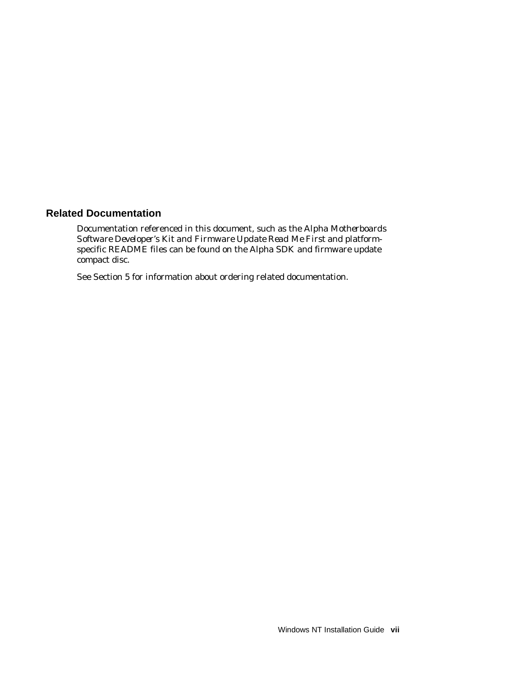## **Related Documentation**

Documentation referenced in this document, such as the *Alpha Motherboards Software Developer's Kit and Firmware Update Read Me First* and platformspecific README files can be found on the Alpha SDK and firmware update compact disc.

See Section 5 for information about ordering related documentation.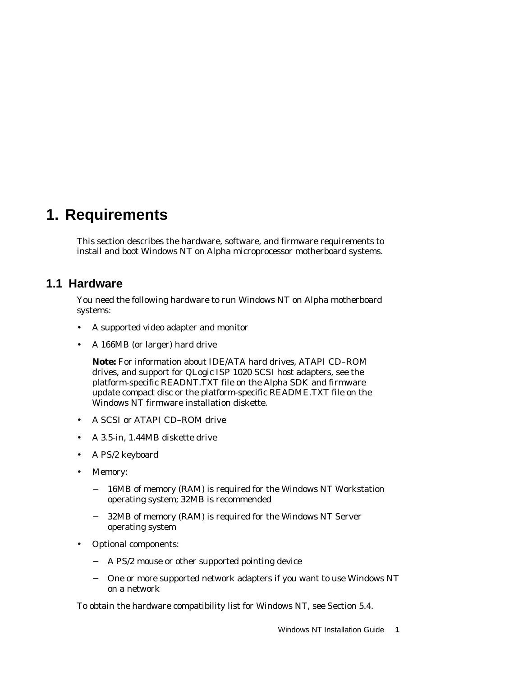# **1. Requirements**

This section describes the hardware, software, and firmware requirements to install and boot Windows NT on Alpha microprocessor motherboard systems.

# **1.1 Hardware**

You need the following hardware to run Windows NT on Alpha motherboard systems:

- A supported video adapter and monitor
- A 166MB (or larger) hard drive

**Note:** For information about IDE/ATA hard drives, ATAPI CD–ROM drives, and support for QLogic ISP 1020 SCSI host adapters, see the platform-specific READNT.TXT file on the Alpha SDK and firmware update compact disc or the platform-specific README.TXT file on the Windows NT firmware installation diskette.

- A SCSI or ATAPI CD–ROM drive
- A 3.5-in, 1.44MB diskette drive
- A PS/2 keyboard
- Memory:
	- − 16MB of memory (RAM) is required for the Windows NT Workstation operating system; 32MB is recommended
	- 32MB of memory (RAM) is required for the Windows NT Server operating system
- Optional components:
	- − A PS/2 mouse or other supported pointing device
	- − One or more supported network adapters if you want to use Windows NT on a network

To obtain the hardware compatibility list for Windows NT, see Section 5.4.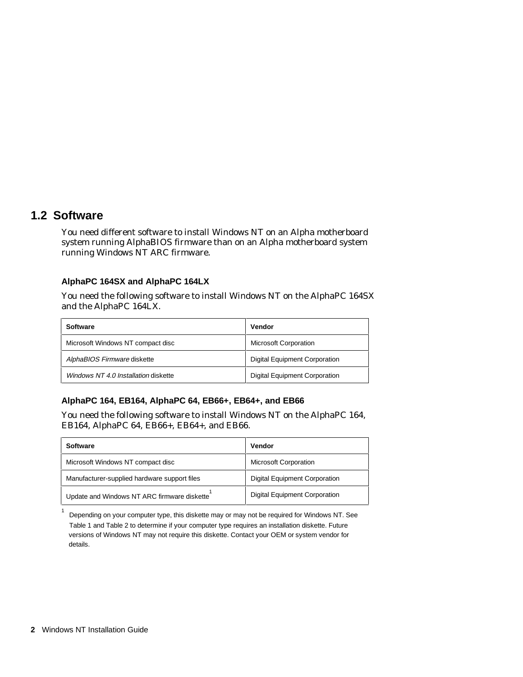# **1.2 Software**

You need different software to install Windows NT on an Alpha motherboard system running AlphaBIOS firmware than on an Alpha motherboard system running Windows NT ARC firmware.

### **AlphaPC 164SX and AlphaPC 164LX**

You need the following software to install Windows NT on the AlphaPC 164SX and the AlphaPC 164LX.

| <b>Software</b>                      | Vendor                               |
|--------------------------------------|--------------------------------------|
| Microsoft Windows NT compact disc    | <b>Microsoft Corporation</b>         |
| AlphaBIOS Firmware diskette          | <b>Digital Equipment Corporation</b> |
| Windows NT 4.0 Installation diskette | <b>Digital Equipment Corporation</b> |

### **AlphaPC 164, EB164, AlphaPC 64, EB66+, EB64+, and EB66**

You need the following software to install Windows NT on the AlphaPC 164, EB164, AlphaPC 64, EB66+, EB64+, and EB66.

| <b>Software</b>                              | Vendor                               |
|----------------------------------------------|--------------------------------------|
| Microsoft Windows NT compact disc            | <b>Microsoft Corporation</b>         |
| Manufacturer-supplied hardware support files | <b>Digital Equipment Corporation</b> |
| Update and Windows NT ARC firmware diskette  | Digital Equipment Corporation        |

Depending on your computer type, this diskette may or may not be required for Windows NT. See Table 1 and Table 2 to determine if your computer type requires an installation diskette. Future versions of Windows NT may not require this diskette. Contact your OEM or system vendor for details.

1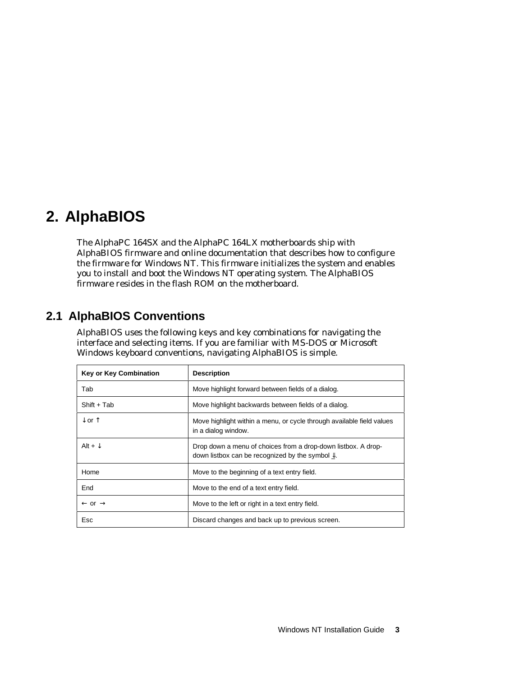# **2. AlphaBIOS**

The AlphaPC 164SX and the AlphaPC 164LX motherboards ship with AlphaBIOS firmware and online documentation that describes how to configure the firmware for Windows NT. This firmware initializes the system and enables you to install and boot the Windows NT operating system. The AlphaBIOS firmware resides in the flash ROM on the motherboard.

# **2.1 AlphaBIOS Conventions**

AlphaBIOS uses the following keys and key combinations for navigating the interface and selecting items. If you are familiar with MS-DOS or Microsoft Windows keyboard conventions, navigating AlphaBIOS is simple.

| <b>Key or Key Combination</b> | <b>Description</b>                                                                                                                       |
|-------------------------------|------------------------------------------------------------------------------------------------------------------------------------------|
| Tab                           | Move highlight forward between fields of a dialog.                                                                                       |
| $Shift + Tab$                 | Move highlight backwards between fields of a dialog.                                                                                     |
| $\downarrow$ or $\uparrow$    | Move highlight within a menu, or cycle through available field values<br>in a dialog window.                                             |
| Alt + $\downarrow$            | Drop down a menu of choices from a drop-down listbox. A drop-<br>down listbox can be recognized by the symbol $\underline{\mathbb{I}}$ . |
| Home                          | Move to the beginning of a text entry field.                                                                                             |
| End                           | Move to the end of a text entry field.                                                                                                   |
| $\leftarrow$ or $\rightarrow$ | Move to the left or right in a text entry field.                                                                                         |
| Esc                           | Discard changes and back up to previous screen.                                                                                          |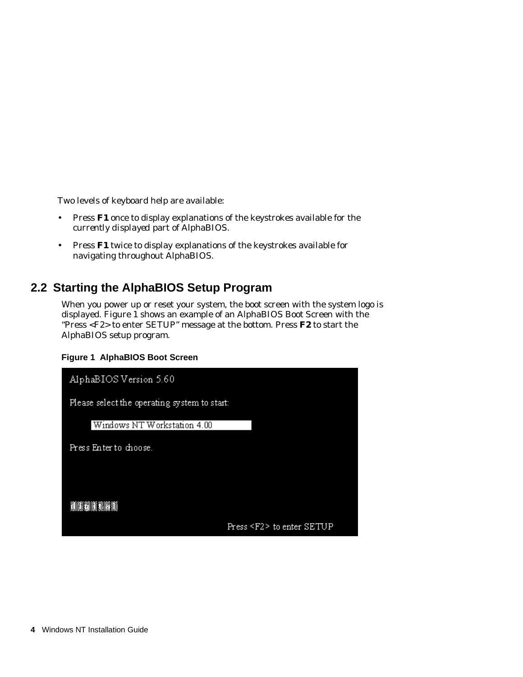Two levels of keyboard help are available:

- Press **F1** once to display explanations of the keystrokes available for the *currently displayed* part of AlphaBIOS.
- Press **F1** twice to display explanations of the keystrokes available for navigating throughout AlphaBIOS.

# **2.2 Starting the AlphaBIOS Setup Program**

When you power up or reset your system, the boot screen with the system logo is displayed. Figure 1 shows an example of an AlphaBIOS Boot Screen with the "Press <F2> to enter SETUP" message at the bottom. Press **F2** to start the AlphaBIOS setup program.

### **Figure 1 AlphaBIOS Boot Screen**

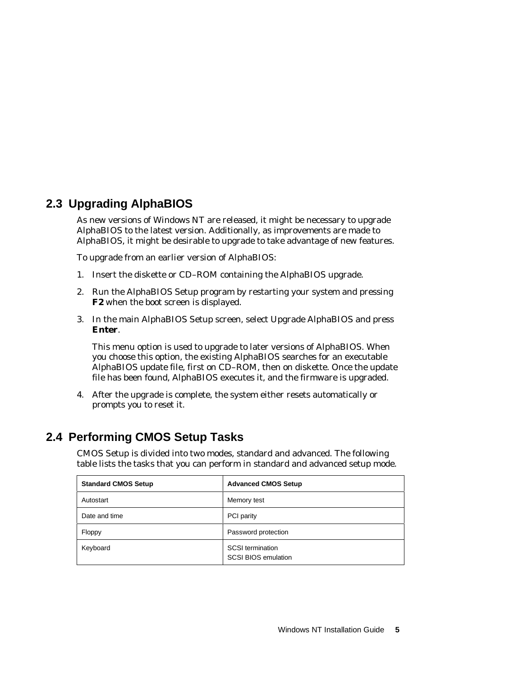# **2.3 Upgrading AlphaBIOS**

As new versions of Windows NT are released, it might be necessary to upgrade AlphaBIOS to the latest version. Additionally, as improvements are made to AlphaBIOS, it might be desirable to upgrade to take advantage of new features.

To upgrade from an earlier version of AlphaBIOS:

- 1. Insert the diskette or CD–ROM containing the AlphaBIOS upgrade.
- 2. Run the AlphaBIOS Setup program by restarting your system and pressing **F2** when the boot screen is displayed.
- 3. In the main AlphaBIOS Setup screen, select Upgrade AlphaBIOS and press **Enter**.

This menu option is used to upgrade to later versions of AlphaBIOS. When you choose this option, the existing AlphaBIOS searches for an executable AlphaBIOS update file, first on CD–ROM, then on diskette. Once the update file has been found, AlphaBIOS executes it, and the firmware is upgraded.

4. After the upgrade is complete, the system either resets automatically or prompts you to reset it.

# **2.4 Performing CMOS Setup Tasks**

CMOS Setup is divided into two modes, standard and advanced. The following table lists the tasks that you can perform in standard and advanced setup mode.

| <b>Standard CMOS Setup</b> | <b>Advanced CMOS Setup</b>                            |
|----------------------------|-------------------------------------------------------|
| Autostart                  | Memory test                                           |
| Date and time              | PCI parity                                            |
| Floppy                     | Password protection                                   |
| Keyboard                   | <b>SCSI</b> termination<br><b>SCSI BIOS emulation</b> |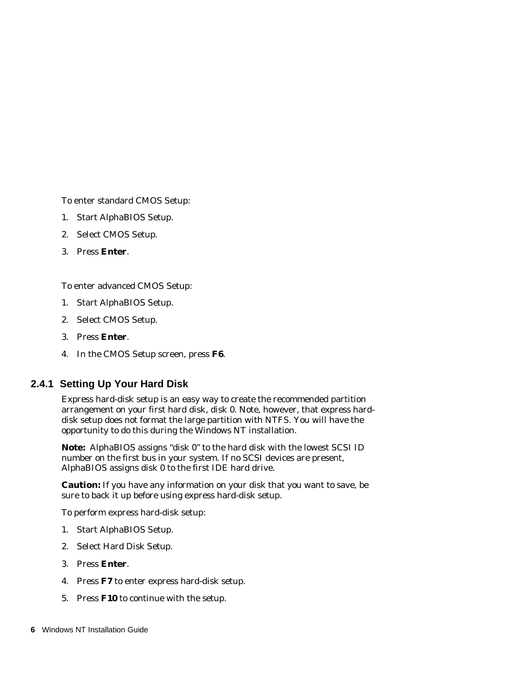To enter standard CMOS Setup:

- 1. Start AlphaBIOS Setup.
- 2. Select CMOS Setup.
- 3. Press **Enter**.

To enter advanced CMOS Setup:

- 1. Start AlphaBIOS Setup.
- 2. Select CMOS Setup.
- 3. Press **Enter**.
- 4. In the CMOS Setup screen, press **F6**.

### **2.4.1 Setting Up Your Hard Disk**

Express hard-disk setup is an easy way to create the recommended partition arrangement on your first hard disk, disk 0. Note, however, that express harddisk setup does not format the large partition with NTFS. You will have the opportunity to do this during the Windows NT installation.

**Note:** AlphaBIOS assigns "disk 0" to the hard disk with the lowest SCSI ID number on the first bus in your system. If no SCSI devices are present, AlphaBIOS assigns disk 0 to the first IDE hard drive.

**Caution:** If you have any information on your disk that you want to save, be sure to back it up before using express hard-disk setup.

To perform express hard-disk setup:

- 1. Start AlphaBIOS Setup.
- 2. Select Hard Disk Setup.
- 3. Press **Enter**.
- 4. Press **F7** to enter express hard-disk setup.
- 5. Press **F10** to continue with the setup.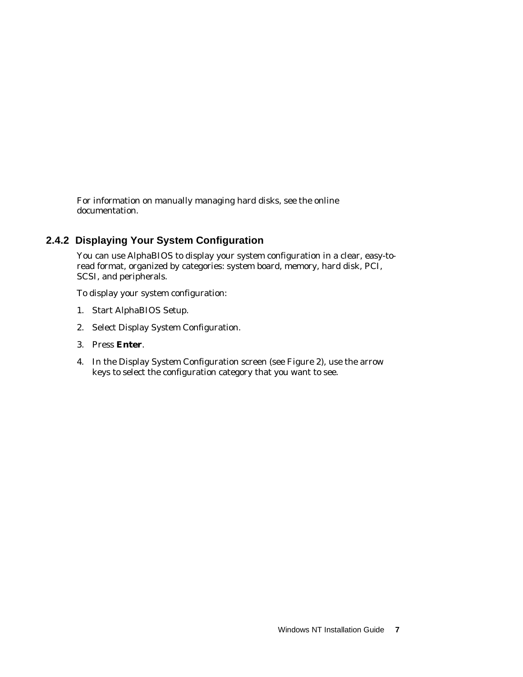For information on manually managing hard disks, see the online documentation.

# **2.4.2 Displaying Your System Configuration**

You can use AlphaBIOS to display your system configuration in a clear, easy-toread format, organized by categories: system board, memory, hard disk, PCI, SCSI, and peripherals.

To display your system configuration:

- 1. Start AlphaBIOS Setup.
- 2. Select Display System Configuration.
- 3. Press **Enter**.
- 4. In the Display System Configuration screen (see Figure 2), use the arrow keys to select the configuration category that you want to see.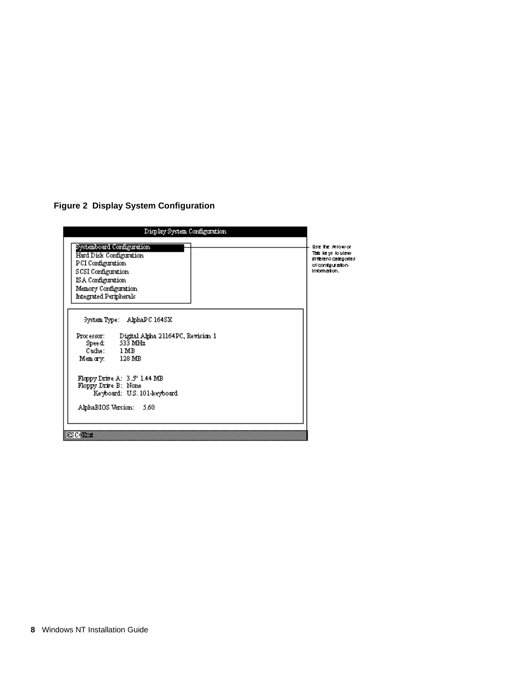**Figure 2 Display System Configuration**

| Display System Configuration                                                                                                                                            |                                                                                                    |
|-------------------------------------------------------------------------------------------------------------------------------------------------------------------------|----------------------------------------------------------------------------------------------------|
| Systemboard Configuration<br>Hard Disk Configuration.<br>PCI Configuration<br>SCSI Configuration<br>ISA Configuration<br>Memory Configuration<br>Integrated Peripherals | <b>Use he Amowor</b><br>Table ys louiew<br>different calegories.<br>ofcontguration<br>internation. |
| System Type: AlphaPC 164SX<br>Processor: Digital Alpha 21164PC, Revision 1<br>Speed: 533 MHz<br>Cache: 1 MB<br>Memory. 128 MB                                           |                                                                                                    |
| Floppy Drive A: 3.5" 1.44 MB<br>Floppy Drive B: None<br>Keyboard: U.S. 101-keyboard<br>AlphaBIOS Version: 5.60                                                          |                                                                                                    |
| ES C÷ESSE                                                                                                                                                               |                                                                                                    |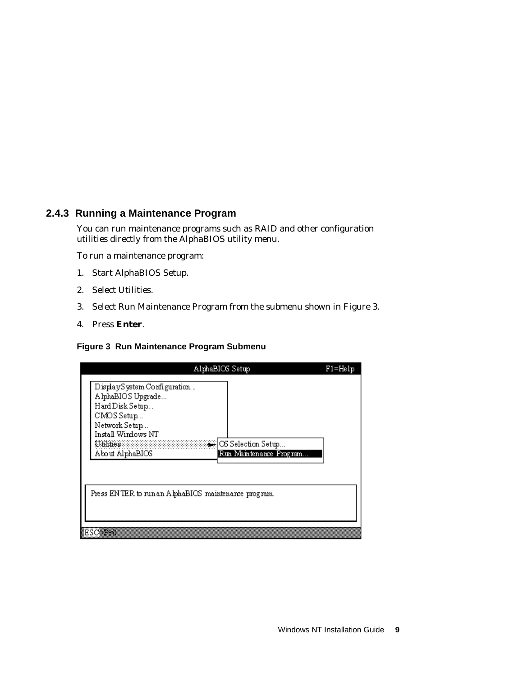## **2.4.3 Running a Maintenance Program**

You can run maintenance programs such as RAID and other configuration utilities directly from the AlphaBIOS utility menu.

To run a maintenance program:

- 1. Start AlphaBIOS Setup.
- 2. Select Utilities.
- 3. Select Run Maintenance Program from the submenu shown in Figure 3.
- 4. Press **Enter**.

#### **Figure 3 Run Maintenance Program Submenu**

|                                                                                                                                                        | AlphaBIOS Setup                                 | $F1 = He1p$ |
|--------------------------------------------------------------------------------------------------------------------------------------------------------|-------------------------------------------------|-------------|
| DisplaySystem Configuration<br>AlphaBIOS Upgrade<br>Hard Disk Setup<br>CMDS Setup<br>Network Setup<br>Install Windows NT<br>Unlines<br>About AlphaBIOS | 纂 OS Selection Setup<br>Run Maintenance Program |             |
| Press ENTER to run an AlphaBIOS maintenance program.<br>8esc <del>ent</del>                                                                            |                                                 |             |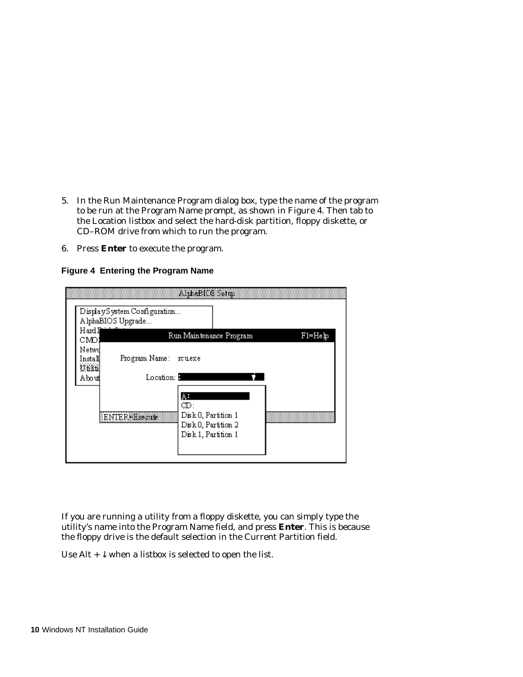- 5. In the Run Maintenance Program dialog box, type the name of the program to be run at the Program Name prompt, as shown in Figure 4. Then tab to the Location listbox and select the hard-disk partition, floppy diskette, or CD–ROM drive from which to run the program.
- 6. Press **Enter** to execute the program.

|                                      | DisplaySystem Configuration<br>AlphaBIOS Upgrade                   | 美国化学家 经公司通知单位                                                                  |         |
|--------------------------------------|--------------------------------------------------------------------|--------------------------------------------------------------------------------|---------|
| Hard∎<br>CMO;                        |                                                                    | Run Maintenance Program                                                        | F1=Help |
| Netwd<br>Install<br>Utilit<br>Aboudl | Program Name: rcuexe<br>Location: <b>B</b><br><b>ENTER#Execute</b> | A.<br>CD:<br>Disk 0, Partition 1<br>Disk 0, Partition 2<br>Disk 1, Partition 1 |         |

#### **Figure 4 Entering the Program Name**

If you are running a utility from a floppy diskette, you can simply type the utility's name into the Program Name field, and press **Enter**. This is because the floppy drive is the default selection in the Current Partition field.

Use Alt  $+ \sqrt{\ }$  when a listbox is selected to open the list.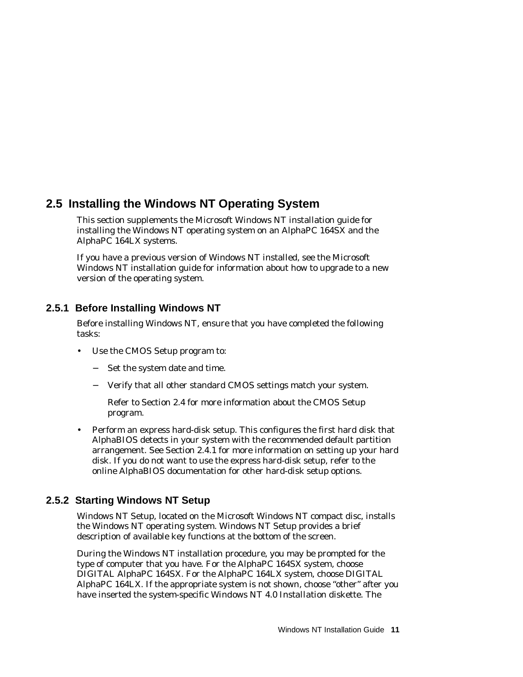# **2.5 Installing the Windows NT Operating System**

This section supplements the Microsoft Windows NT installation guide for installing the Windows NT operating system on an AlphaPC 164SX and the AlphaPC 164LX systems.

If you have a previous version of Windows NT installed, see the Microsoft Windows NT installation guide for information about how to upgrade to a new version of the operating system.

## **2.5.1 Before Installing Windows NT**

Before installing Windows NT, ensure that you have completed the following tasks:

- Use the CMOS Setup program to:
	- − Set the system date and time.
	- − Verify that all other standard CMOS settings match your system.

Refer to Section 2.4 for more information about the CMOS Setup program.

• Perform an express hard-disk setup. This configures the first hard disk that AlphaBIOS detects in your system with the recommended default partition arrangement. See Section 2.4.1 for more information on setting up your hard disk. If you do not want to use the express hard-disk setup, refer to the online AlphaBIOS documentation for other hard-disk setup options.

# **2.5.2 Starting Windows NT Setup**

Windows NT Setup, located on the Microsoft Windows NT compact disc, installs the Windows NT operating system. Windows NT Setup provides a brief description of available key functions at the bottom of the screen.

During the Windows NT installation procedure, you may be prompted for the type of computer that you have. For the AlphaPC 164SX system, choose DIGITAL AlphaPC 164SX. For the AlphaPC 164LX system, choose DIGITAL AlphaPC 164LX. If the appropriate system is not shown, choose "other" after you have inserted the system-specific *Windows NT 4.0 Installation* diskette. The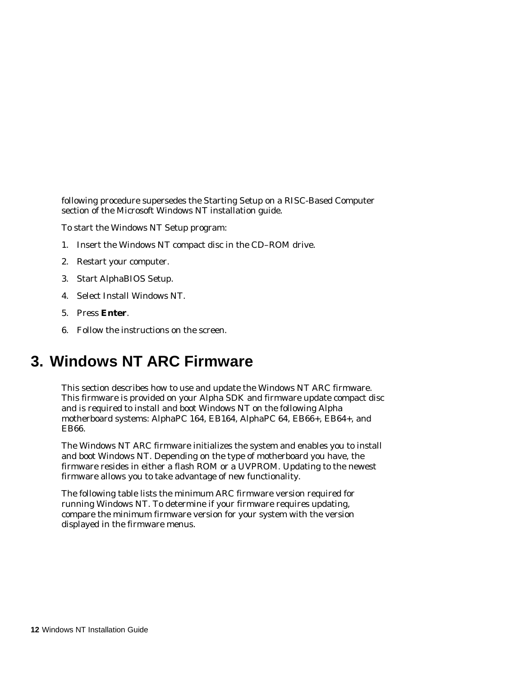following procedure supersedes the Starting Setup on a RISC-Based Computer section of the Microsoft Windows NT installation guide.

To start the Windows NT Setup program:

- 1. Insert the Windows NT compact disc in the CD–ROM drive.
- 2. Restart your computer.
- 3. Start AlphaBIOS Setup.
- 4. Select Install Windows NT.
- 5. Press **Enter**.
- 6. Follow the instructions on the screen.

# **3. Windows NT ARC Firmware**

This section describes how to use and update the Windows NT ARC firmware. This firmware is provided on your Alpha SDK and firmware update compact disc and is required to install and boot Windows NT on the following Alpha motherboard systems: AlphaPC 164, EB164, AlphaPC 64, EB66+, EB64+, and EB66.

The Windows NT ARC firmware initializes the system and enables you to install and boot Windows NT. Depending on the type of motherboard you have, the firmware resides in either a flash ROM or a UVPROM. Updating to the newest firmware allows you to take advantage of new functionality.

The following table lists the minimum ARC firmware version required for running Windows NT. To determine if your firmware requires updating, compare the minimum firmware version for your system with the version displayed in the firmware menus.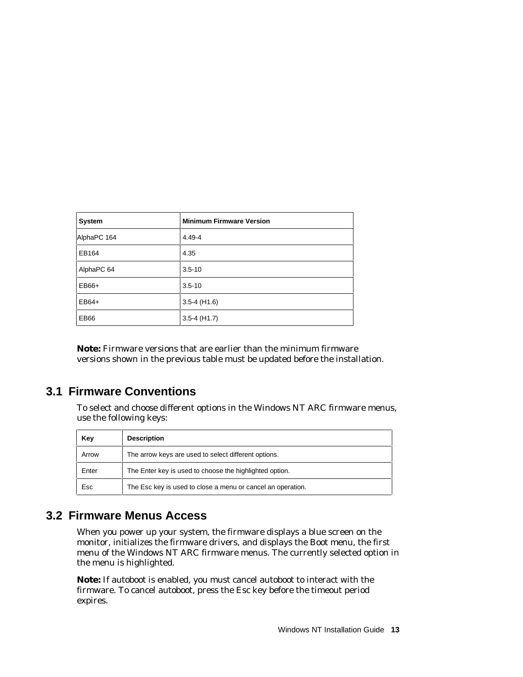| System      | <b>Minimum Firmware Version</b> |
|-------------|---------------------------------|
| AlphaPC 164 | 4.49-4                          |
| EB164       | 4.35                            |
| AlphaPC 64  | $3.5 - 10$                      |
| EB66+       | $3.5 - 10$                      |
| $EB64+$     | $3.5 - 4$ (H <sub>1.6</sub> )   |
| <b>EB66</b> | $3.5 - 4$ (H1.7)                |

**Note:** Firmware versions that are earlier than the minimum firmware versions shown in the previous table must be updated before the installation.

# **3.1 Firmware Conventions**

To select and choose different options in the Windows NT ARC firmware menus, use the following keys:

| Key   | <b>Description</b>                                          |
|-------|-------------------------------------------------------------|
| Arrow | The arrow keys are used to select different options.        |
| Enter | The Enter key is used to choose the highlighted option.     |
| Esc   | The Esc key is used to close a menu or cancel an operation. |

# **3.2 Firmware Menus Access**

When you power up your system, the firmware displays a blue screen on the monitor, initializes the firmware drivers, and displays the Boot menu, the first menu of the Windows NT ARC firmware menus. The currently selected option in the menu is highlighted.

**Note:** If autoboot is enabled, you must cancel autoboot to interact with the firmware. To cancel autoboot, press the Esc key before the timeout period expires.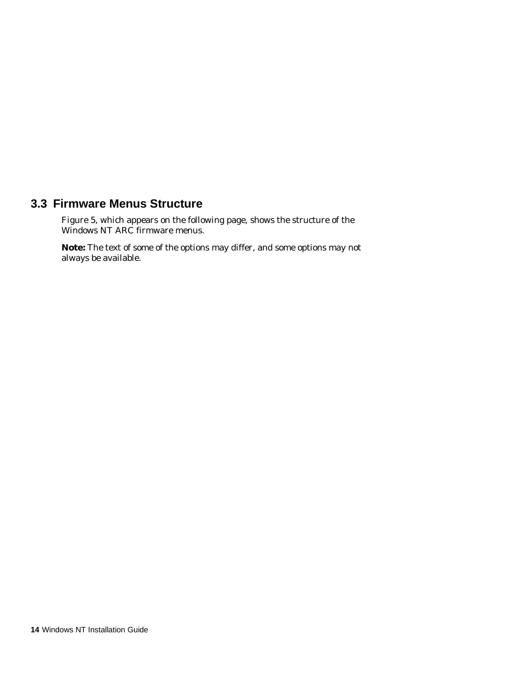# **3.3 Firmware Menus Structure**

Figure 5, which appears on the following page, shows the structure of the Windows NT ARC firmware menus.

**Note:** The text of some of the options may differ, and some options may not always be available.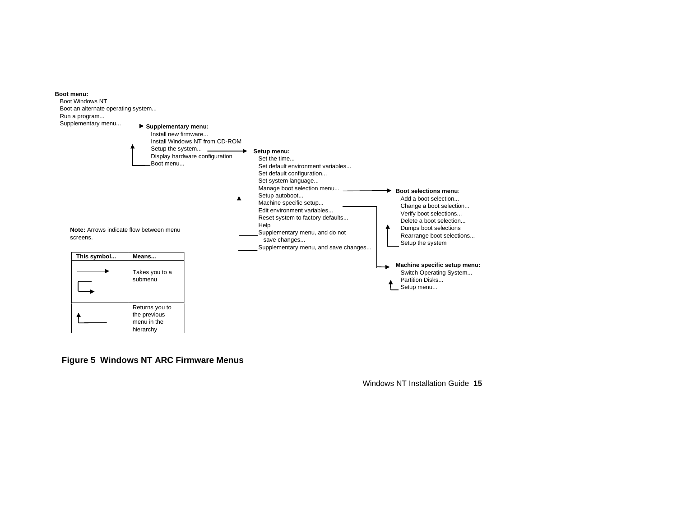

#### **Figure 5 Windows NT ARC Firmware Menus**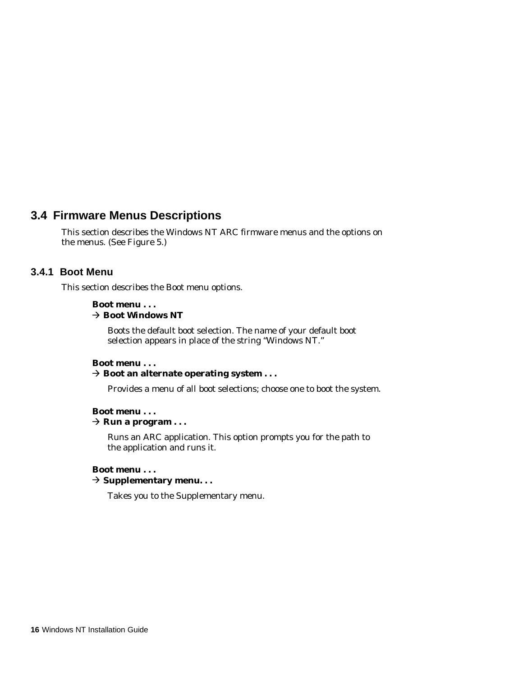# **3.4 Firmware Menus Descriptions**

This section describes the Windows NT ARC firmware menus and the options on the menus. (See Figure 5.)

### **3.4.1 Boot Menu**

This section describes the Boot menu options.

### **Boot menu . . .**

#### $→$  **Boot Windows NT**

Boots the default boot selection. The name of your default boot selection appears in place of the string "Windows NT."

#### **Boot menu . . .** È **Boot an alternate operating system . . .**

Provides a menu of all boot selections; choose one to boot the system.

### **Boot menu . . .**

#### $\rightarrow$  Run a program . . .

Runs an ARC application. This option prompts you for the path to the application and runs it.

### **Boot menu . . .**

È **Supplementary menu. . .**

Takes you to the Supplementary menu.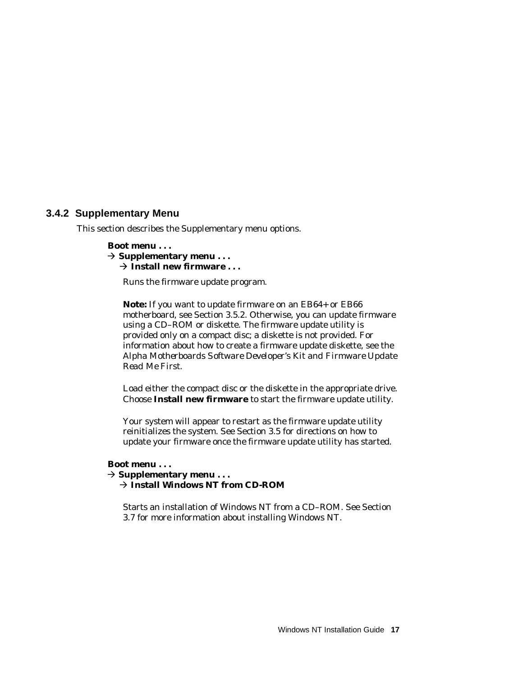### **3.4.2 Supplementary Menu**

This section describes the Supplementary menu options.

### **Boot menu . . .**

 $\rightarrow$  Supplementary menu  $\dots$  $\rightarrow$  Install new firmware ...

Runs the firmware update program.

**Note:** If you want to update firmware on an EB64+ or EB66 motherboard, see Section 3.5.2. Otherwise, you can update firmware using a CD–ROM or diskette. The firmware update utility is provided only on a compact disc; a diskette is not provided. For information about how to create a firmware update diskette, see the *Alpha Motherboards Software Developer's Kit and Firmware Update Read Me First.*

Load either the compact disc or the diskette in the appropriate drive. Choose **Install new firmware** to start the firmware update utility.

Your system will appear to restart as the firmware update utility reinitializes the system. See Section 3.5 for directions on how to update your firmware once the firmware update utility has started.

### **Boot menu . . .**

- $\rightarrow$  Supplementary menu  $\dots$ 
	- È **Install Windows NT from CD-ROM**

Starts an installation of Windows NT from a CD–ROM. See Section 3.7 for more information about installing Windows NT.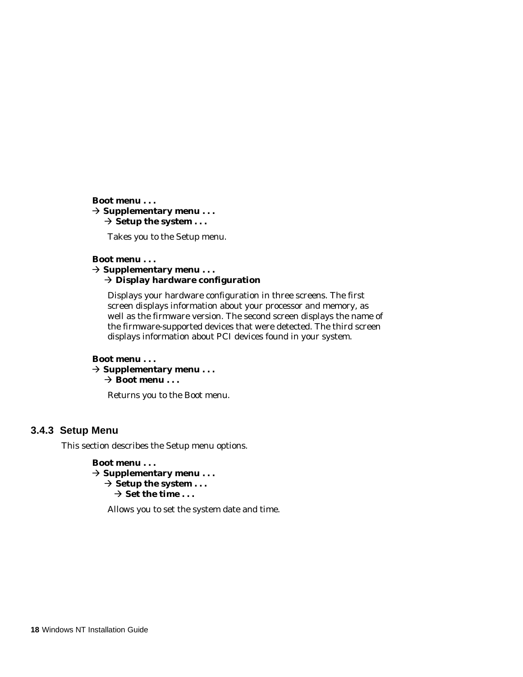#### **Boot menu . . .**

#### $\rightarrow$  Supplementary menu . . .  $\rightarrow$  **Setup the system ...**

Takes you to the Setup menu.

#### **Boot menu . . .**

#### È **Supplementary menu . . .** È **Display hardware configuration**

Displays your hardware configuration in three screens. The first screen displays information about your processor and memory, as well as the firmware version. The second screen displays the name of the firmware-supported devices that were detected. The third screen displays information about PCI devices found in your system.

#### **Boot menu . . .**  $\rightarrow$  Supplementary menu...  $→$  **Boot menu . . .**

Returns you to the Boot menu.

### **3.4.3 Setup Menu**

This section describes the Setup menu options.

### **Boot menu . . .**

È **Supplementary menu . . .**  $\rightarrow$  **Setup the system ...** 

 $\rightarrow$  Set the time  $\ldots$ 

Allows you to set the system date and time.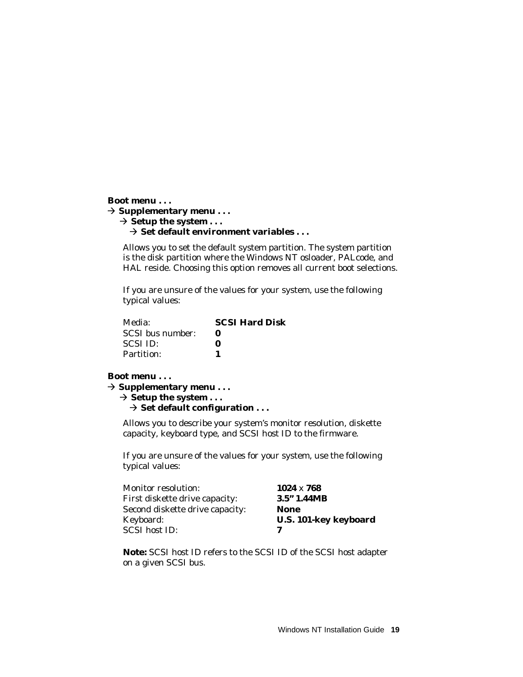```
Boot menu . . .
\rightarrow Supplementary menu . . .
   \rightarrow Setup the system ...
       È Set default environment variables . . .
```
Allows you to set the default system partition. The system partition is the disk partition where the Windows NT osloader, PALcode, and HAL reside. Choosing this option removes all current boot selections.

If you are unsure of the values for your system, use the following typical values:

| Media:           | <b>SCSI Hard Disk</b> |
|------------------|-----------------------|
| SCSI bus number: |                       |
| SCSI ID:         | o                     |
| Partition:       |                       |

#### **Boot menu . . .**

È **Supplementary menu . . .**

 $\rightarrow$  **Setup the system ...** 

```
 È Set default configuration . . .
```
Allows you to describe your system's monitor resolution, diskette capacity, keyboard type, and SCSI host ID to the firmware.

If you are unsure of the values for your system, use the following typical values:

| <b>Monitor resolution:</b>      | $1024 \times 768$            |
|---------------------------------|------------------------------|
| First diskette drive capacity:  | 3.5"1.44MB                   |
| Second diskette drive capacity: | <b>None</b>                  |
| Keyboard:                       | <b>U.S. 101-key keyboard</b> |
| <b>SCSI</b> host ID:            | 7                            |

**Note:** SCSI host ID refers to the SCSI ID of the SCSI host adapter on a given SCSI bus.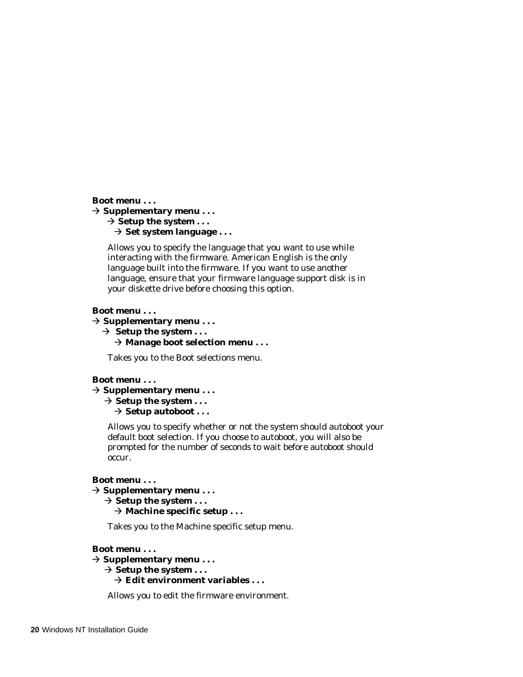**Boot menu . . .**

```
È Supplementary menu . . .
   \rightarrow Setup the system . . .
      ⇒ Set system language . . .
```
Allows you to specify the language that you want to use while interacting with the firmware. American English is the only language built into the firmware. If you want to use another language, ensure that your firmware language support disk is in your diskette drive before choosing this option.

#### **Boot menu . . .**

È **Supplementary menu . . .**

 $\rightarrow$  Setup the system . . .  $\rightarrow$  Manage boot selection menu . . .

Takes you to the Boot selections menu.

#### **Boot menu . . .**

```
È Supplementary menu . . .
   \rightarrow Setup the system . . .
```

```
\rightarrow Setup autoboot . . .
```
Allows you to specify whether or not the system should autoboot your default boot selection. If you choose to autoboot, you will also be prompted for the number of seconds to wait before autoboot should occur.

#### **Boot menu . . .**

```
È Supplementary menu . . .
   \rightarrow Setup the system . . .
```
 $→$  **Machine specific setup . . .** 

Takes you to the Machine specific setup menu.

#### **Boot menu . . .**

```
È Supplementary menu . . .
   \rightarrow Setup the system ...
      È Edit environment variables . . .
```
Allows you to edit the firmware environment.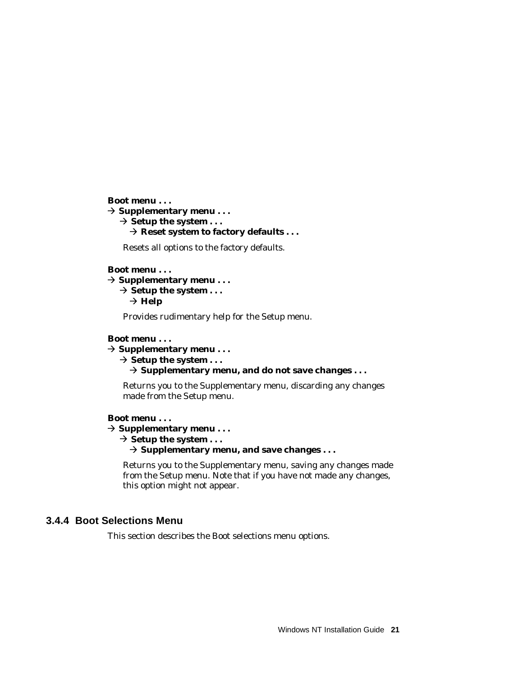**Boot menu . . .**

È **Supplementary menu . . .**

 $\rightarrow$  Setup the system . . .

È **Reset system to factory defaults . . .**

Resets all options to the factory defaults.

### **Boot menu . . .**

 $\rightarrow$  Supplementary menu...

 $\rightarrow$  Setup the system . . .

 $\rightarrow$  Help

Provides rudimentary help for the Setup menu.

### **Boot menu . . .**

È **Supplementary menu . . .**

 $\rightarrow$  Setup the system  $\dots$ 

È **Supplementary menu, and do not save changes . . .**

Returns you to the Supplementary menu, discarding any changes made from the Setup menu.

### **Boot menu . . .**

 $\rightarrow$  Supplementary menu  $\dots$ 

 $\rightarrow$  Setup the system . . .

 $\rightarrow$  Supplementary menu, and save changes . . .

Returns you to the Supplementary menu, saving any changes made from the Setup menu. Note that if you have not made any changes, this option might not appear.

## **3.4.4 Boot Selections Menu**

This section describes the Boot selections menu options.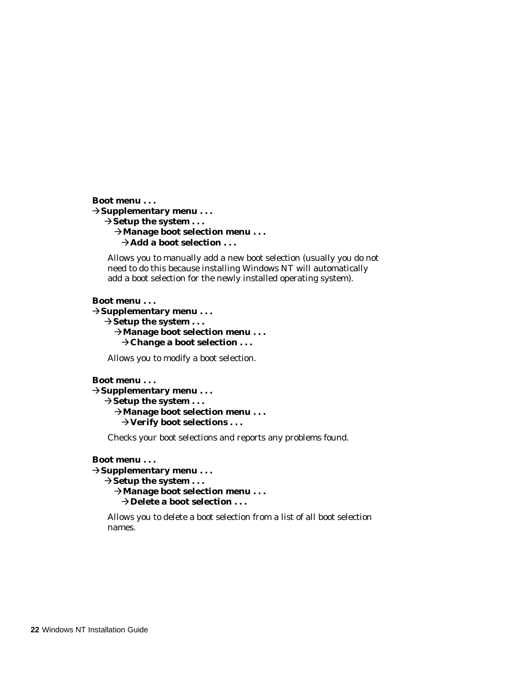```
Boot menu . . .
ÈSupplementary menu . . .
   \rightarrowSetup the system ...
      ÈManage boot selection menu . . .
       →Add a boot selection ...
```
Allows you to manually add a new boot selection (usually you do not need to do this because installing Windows NT will automatically add a boot selection for the newly installed operating system).

#### **Boot menu . . .**

È**Supplementary menu . . .**  $\rightarrow$  Setup the system . . . È**Manage boot selection menu . . . ⇒Change a boot selection ...** 

Allows you to modify a boot selection.

#### **Boot menu . . .**

```
ÈSupplementary menu . . .
   \rightarrow Setup the system . . .
      ÈManage boot selection menu . . .
        ÈVerify boot selections . . .
```
Checks your boot selections and reports any problems found.

#### **Boot menu . . .**

```
ÈSupplementary menu . . .
   \rightarrow Setup the system . . .
      ÈManage boot selection menu . . .
       \rightarrowDelete a boot selection ...
```
Allows you to delete a boot selection from a list of all boot selection names.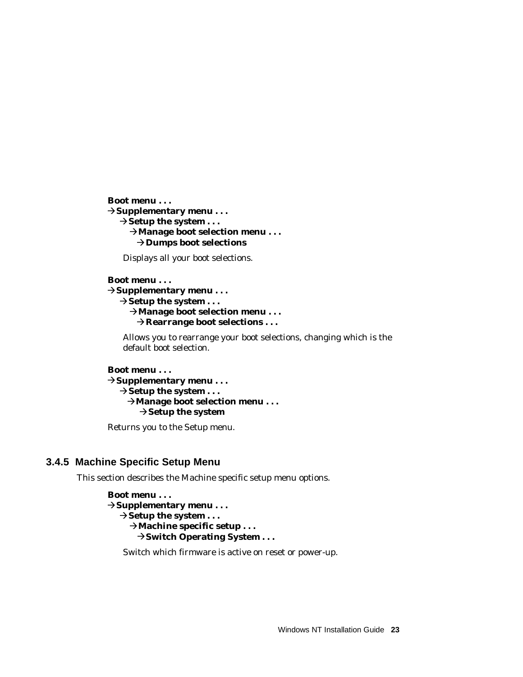**Boot menu . . .** È**Supplementary menu . . .**  $\rightarrow$ **Setup the system ...** È**Manage boot selection menu . . .**  $→$ **Dumps boot selections** 

Displays all your boot selections.

```
Boot menu . . .
ÈSupplementary menu . . .
   \rightarrowSetup the system ...
      ÈManage boot selection menu . . .
        ÈRearrange boot selections . . .
```
Allows you to rearrange your boot selections, changing which is the default boot selection.

```
Boot menu . . .
ÈSupplementary menu . . .
   \rightarrow Setup the system \dots ÈManage boot selection menu . . .
        \rightarrow Setup the system
```
Returns you to the Setup menu.

### **3.4.5 Machine Specific Setup Menu**

This section describes the Machine specific setup menu options.

**Boot menu . . .** È**Supplementary menu . . .**  $\rightarrow$  Setup the system . . .  $→$ **Machine specific setup . . . → Switch Operating System . . .** 

Switch which firmware is active on reset or power-up.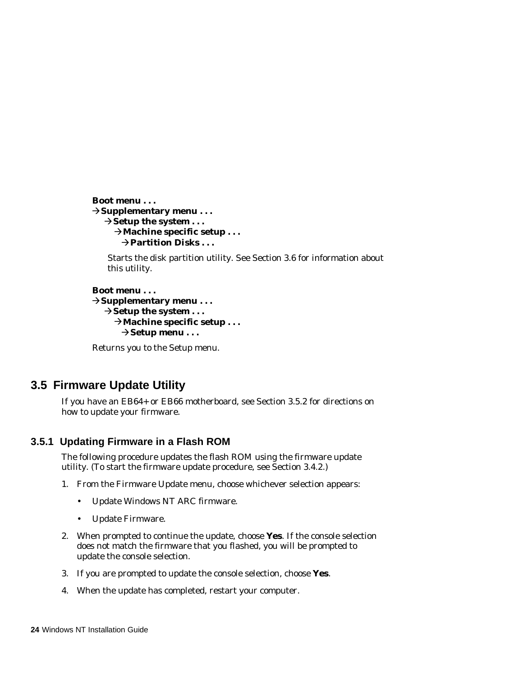```
Boot menu . . .
ÈSupplementary menu . . .
   \rightarrowSetup the system ...
     →Machine specific setup . . .
        ÈPartition Disks . . .
```
Starts the disk partition utility. See Section 3.6 for information about this utility.

```
Boot menu . . .
ÈSupplementary menu . . .
   \rightarrow Setup the system \dots→Machine specific setup . . .
        ÈSetup menu . . .
```
Returns you to the Setup menu.

# **3.5 Firmware Update Utility**

If you have an EB64+ or EB66 motherboard, see Section 3.5.2 for directions on how to update your firmware.

# **3.5.1 Updating Firmware in a Flash ROM**

The following procedure updates the flash ROM using the firmware update utility. (To start the firmware update procedure, see Section 3.4.2.)

- 1. From the Firmware Update menu, choose whichever selection appears:
	- Update Windows NT ARC firmware.
	- Update Firmware.
- 2. When prompted to continue the update, choose **Yes**. If the console selection does not match the firmware that you flashed, you will be prompted to update the console selection.
- 3. If you are prompted to update the console selection, choose **Yes**.
- 4. When the update has completed, restart your computer.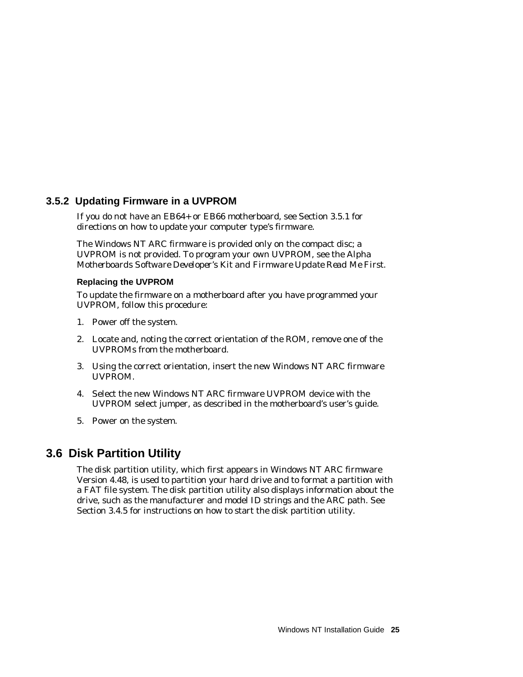## **3.5.2 Updating Firmware in a UVPROM**

If you do not have an EB64+ or EB66 motherboard, see Section 3.5.1 for directions on how to update your computer type's firmware.

The Windows NT ARC firmware is provided only on the compact disc; a UVPROM is not provided. To program your own UVPROM, see the *Alpha Motherboards Software Developer's Kit and Firmware Update Read Me First.*

### **Replacing the UVPROM**

To update the firmware on a motherboard after you have programmed your UVPROM, follow this procedure:

- 1. Power off the system.
- 2. Locate and, noting the correct orientation of the ROM, remove one of the UVPROMs from the motherboard.
- 3. Using the correct orientation, insert the new Windows NT ARC firmware UVPROM.
- 4. Select the new Windows NT ARC firmware UVPROM device with the UVPROM select jumper, as described in the motherboard's user's guide.
- 5. Power on the system.

# **3.6 Disk Partition Utility**

The disk partition utility, which first appears in Windows NT ARC firmware Version 4.48, is used to partition your hard drive and to format a partition with a FAT file system. The disk partition utility also displays information about the drive, such as the manufacturer and model ID strings and the ARC path. See Section 3.4.5 for instructions on how to start the disk partition utility.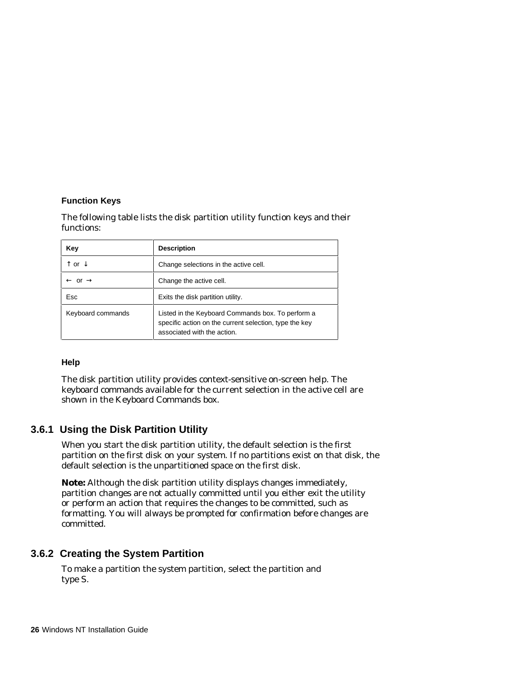### **Function Keys**

The following table lists the disk partition utility function keys and their functions:

| Key                           | <b>Description</b>                                                                                                                         |
|-------------------------------|--------------------------------------------------------------------------------------------------------------------------------------------|
| ↑ or ↓                        | Change selections in the active cell.                                                                                                      |
| $\leftarrow$ or $\rightarrow$ | Change the active cell.                                                                                                                    |
| Esc                           | Exits the disk partition utility.                                                                                                          |
| Keyboard commands             | Listed in the Keyboard Commands box. To perform a<br>specific action on the current selection, type the key<br>associated with the action. |

### **Help**

The disk partition utility provides context-sensitive on-screen help. The keyboard commands available for the current selection in the active cell are shown in the Keyboard Commands box.

# **3.6.1 Using the Disk Partition Utility**

When you start the disk partition utility, the default selection is the first partition on the first disk on your system. If no partitions exist on that disk, the default selection is the unpartitioned space on the first disk.

**Note:** Although the disk partition utility displays changes immediately, partition changes are not actually committed until you either exit the utility or perform an action that requires the changes to be committed, such as formatting. You will always be prompted for confirmation before changes are committed.

# **3.6.2 Creating the System Partition**

To make a partition the system partition, select the partition and type S.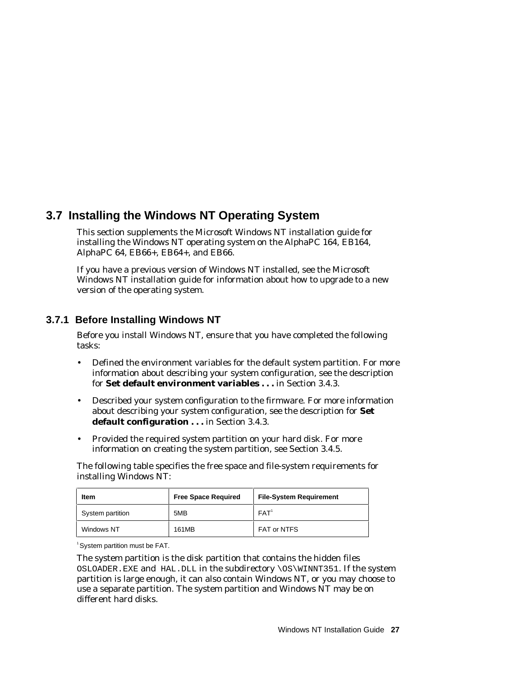# **3.7 Installing the Windows NT Operating System**

This section supplements the Microsoft Windows NT installation guide for installing the Windows NT operating system on the AlphaPC 164, EB164, AlphaPC 64, EB66+, EB64+, and EB66.

If you have a previous version of Windows NT installed, see the Microsoft Windows NT installation guide for information about how to upgrade to a new version of the operating system.

# **3.7.1 Before Installing Windows NT**

Before you install Windows NT, ensure that you have completed the following tasks:

- Defined the environment variables for the default system partition. For more information about describing your system configuration, see the description for **Set default environment variables . . .** in Section 3.4.3.
- Described your system configuration to the firmware. For more information about describing your system configuration, see the description for **Set default configuration . . .** in Section 3.4.3.
- Provided the required system partition on your hard disk. For more information on creating the system partition, see Section 3.4.5.

The following table specifies the free space and file-system requirements for installing Windows NT:

| <b>Item</b>      | <b>Free Space Required</b> | <b>File-System Requirement</b> |
|------------------|----------------------------|--------------------------------|
| System partition | 5MB                        | FAT <sup>1</sup>               |
| Windows NT       | 161MB                      | FAT or NTFS                    |

<sup>1</sup> System partition must be FAT.

The system partition is the disk partition that contains the hidden files OSLOADER.EXE and HAL.DLL in the subdirectory \OS\WINNT351. If the system partition is large enough, it can also contain Windows NT, or you may choose to use a separate partition. The system partition and Windows NT may be on different hard disks.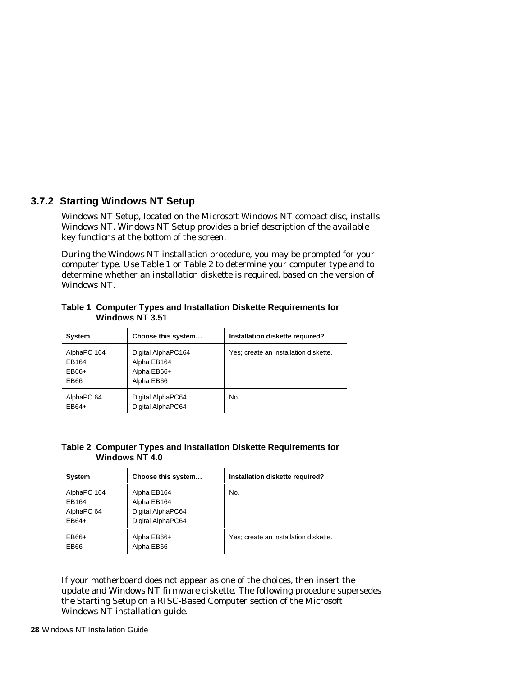# **3.7.2 Starting Windows NT Setup**

Windows NT Setup, located on the Microsoft Windows NT compact disc, installs Windows NT. Windows NT Setup provides a brief description of the available key functions at the bottom of the screen.

During the Windows NT installation procedure, you may be prompted for your computer type. Use Table 1 or Table 2 to determine your computer type and to determine whether an installation diskette is required, based on the version of Windows NT.

| <b>System</b>                           | Choose this system                                             | Installation diskette required?       |
|-----------------------------------------|----------------------------------------------------------------|---------------------------------------|
| AlphaPC 164<br>EB164<br>$EB66+$<br>EB66 | Digital AlphaPC164<br>Alpha EB164<br>Alpha EB66+<br>Alpha EB66 | Yes; create an installation diskette. |
| AlphaPC 64<br>$EB64+$                   | Digital AlphaPC64<br>Digital AlphaPC64                         | No.                                   |

**Table 1 Computer Types and Installation Diskette Requirements for Windows NT 3.51**

### **Table 2 Computer Types and Installation Diskette Requirements for Windows NT 4.0**

| <b>System</b>                               | Choose this system                                                   | Installation diskette required?       |
|---------------------------------------------|----------------------------------------------------------------------|---------------------------------------|
| AlphaPC 164<br>EB164<br>AlphaPC 64<br>EB64+ | Alpha EB164<br>Alpha EB164<br>Digital AlphaPC64<br>Digital AlphaPC64 | No.                                   |
| EB66+<br>EB66                               | Alpha EB66+<br>Alpha EB66                                            | Yes: create an installation diskette. |

If your motherboard does not appear as one of the choices, then insert the update and Windows NT firmware diskette. The following procedure supersedes the Starting Setup on a RISC-Based Computer section of the Microsoft Windows NT installation guide.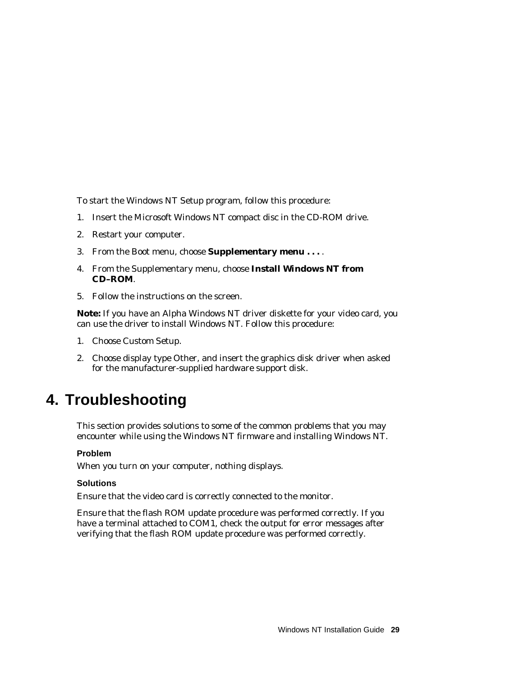To start the Windows NT Setup program, follow this procedure:

- 1. Insert the Microsoft Windows NT compact disc in the CD-ROM drive.
- 2. Restart your computer.
- 3. From the Boot menu, choose **Supplementary menu . . .** .
- 4. From the Supplementary menu, choose **Install Windows NT from CD–ROM**.
- 5. Follow the instructions on the screen.

**Note:** If you have an Alpha Windows NT driver diskette for your video card, you can use the driver to install Windows NT. Follow this procedure:

- 1. Choose Custom Setup.
- 2. Choose display type Other, and insert the graphics disk driver when asked for the manufacturer-supplied hardware support disk.

# **4. Troubleshooting**

This section provides solutions to some of the common problems that you may encounter while using the Windows NT firmware and installing Windows NT.

### **Problem**

When you turn on your computer, nothing displays.

#### **Solutions**

Ensure that the video card is correctly connected to the monitor.

Ensure that the flash ROM update procedure was performed correctly. If you have a terminal attached to COM1, check the output for error messages after verifying that the flash ROM update procedure was performed correctly.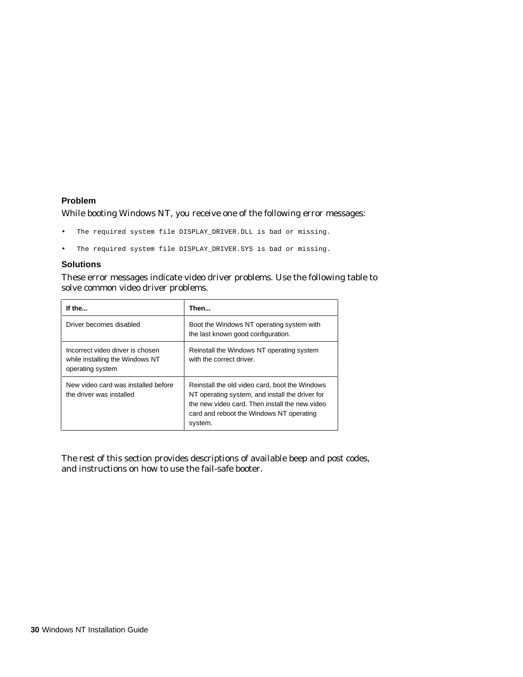### **Problem**

While booting Windows NT, you receive one of the following error messages:

- The required system file DISPLAY\_DRIVER.DLL is bad or missing.
- The required system file DISPLAY\_DRIVER.SYS is bad or missing.

### **Solutions**

These error messages indicate video driver problems. Use the following table to solve common video driver problems.

| If the                                                                                  | Then                                                                                                                                                                                                       |
|-----------------------------------------------------------------------------------------|------------------------------------------------------------------------------------------------------------------------------------------------------------------------------------------------------------|
| Driver becomes disabled                                                                 | Boot the Windows NT operating system with<br>the last known good configuration.                                                                                                                            |
| Incorrect video driver is chosen<br>while installing the Windows NT<br>operating system | Reinstall the Windows NT operating system<br>with the correct driver.                                                                                                                                      |
| New video card was installed before<br>the driver was installed                         | Reinstall the old video card, boot the Windows<br>NT operating system, and install the driver for<br>the new video card. Then install the new video<br>card and reboot the Windows NT operating<br>system. |

The rest of this section provides descriptions of available beep and post codes, and instructions on how to use the fail-safe booter.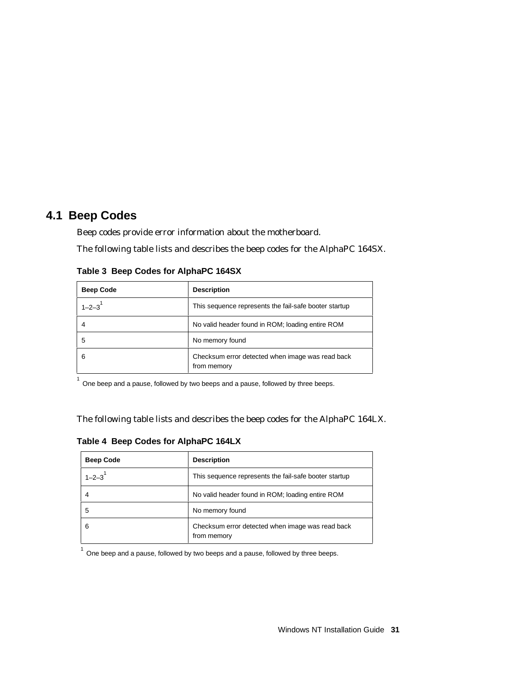# **4.1 Beep Codes**

Beep codes provide error information about the motherboard.

The following table lists and describes the beep codes for the AlphaPC 164SX.

| <b>Beep Code</b> | <b>Description</b>                                              |
|------------------|-----------------------------------------------------------------|
| $1 - 2 - 3$      | This sequence represents the fail-safe booter startup           |
| 4                | No valid header found in ROM; loading entire ROM                |
| 5                | No memory found                                                 |
| 6                | Checksum error detected when image was read back<br>from memory |

**Table 3 Beep Codes for AlphaPC 164SX**

1 One beep and a pause, followed by two beeps and a pause, followed by three beeps.

The following table lists and describes the beep codes for the AlphaPC 164LX.

|  |  |  |  | Table 4 Beep Codes for AlphaPC 164LX |  |
|--|--|--|--|--------------------------------------|--|
|--|--|--|--|--------------------------------------|--|

| <b>Beep Code</b> | <b>Description</b>                                              |
|------------------|-----------------------------------------------------------------|
| $1 - 2 - 3$      | This sequence represents the fail-safe booter startup           |
|                  | No valid header found in ROM; loading entire ROM                |
| 5                | No memory found                                                 |
| 6                | Checksum error detected when image was read back<br>from memory |

 $^{1}$  One beep and a pause, followed by two beeps and a pause, followed by three beeps.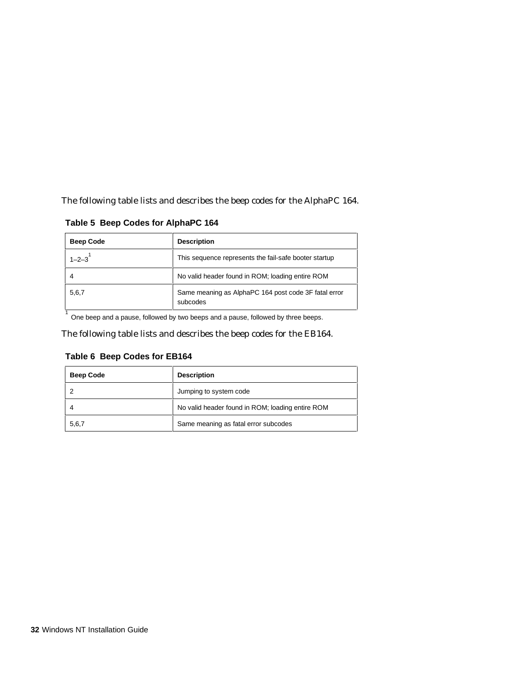The following table lists and describes the beep codes for the AlphaPC 164.

**Table 5 Beep Codes for AlphaPC 164**

| <b>Beep Code</b> | <b>Description</b>                                               |
|------------------|------------------------------------------------------------------|
| $1 - 2 - 3$      | This sequence represents the fail-safe booter startup            |
|                  | No valid header found in ROM; loading entire ROM                 |
| 5,6,7            | Same meaning as AlphaPC 164 post code 3F fatal error<br>subcodes |

 $^{1}$  One beep and a pause, followed by two beeps and a pause, followed by three beeps.

The following table lists and describes the beep codes for the EB164.

## **Table 6 Beep Codes for EB164**

| <b>Beep Code</b> | <b>Description</b>                               |
|------------------|--------------------------------------------------|
|                  | Jumping to system code                           |
|                  | No valid header found in ROM; loading entire ROM |
| 5,6,7            | Same meaning as fatal error subcodes             |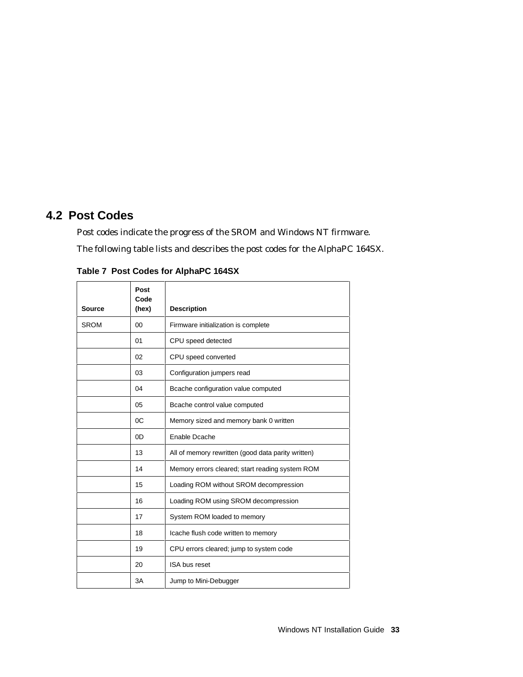# **4.2 Post Codes**

Post codes indicate the progress of the SROM and Windows NT firmware. The following table lists and describes the post codes for the AlphaPC 164SX.

| <b>Source</b> | Post<br>Code<br>(hex) | <b>Description</b>                                 |
|---------------|-----------------------|----------------------------------------------------|
| <b>SROM</b>   | $00\,$                | Firmware initialization is complete                |
|               | 01                    | CPU speed detected                                 |
|               | 02                    | CPU speed converted                                |
|               | 03                    | Configuration jumpers read                         |
|               | 04                    | Bcache configuration value computed                |
|               | 05                    | Bcache control value computed                      |
|               | OC                    | Memory sized and memory bank 0 written             |
|               | 0D                    | Enable Dcache                                      |
|               | 13                    | All of memory rewritten (good data parity written) |
|               | 14                    | Memory errors cleared; start reading system ROM    |
|               | 15                    | Loading ROM without SROM decompression             |
|               | 16                    | Loading ROM using SROM decompression               |
|               | 17                    | System ROM loaded to memory                        |
|               | 18                    | Icache flush code written to memory                |
|               | 19                    | CPU errors cleared; jump to system code            |
|               | 20                    | ISA bus reset                                      |
|               | 3A                    | Jump to Mini-Debugger                              |

**Table 7 Post Codes for AlphaPC 164SX**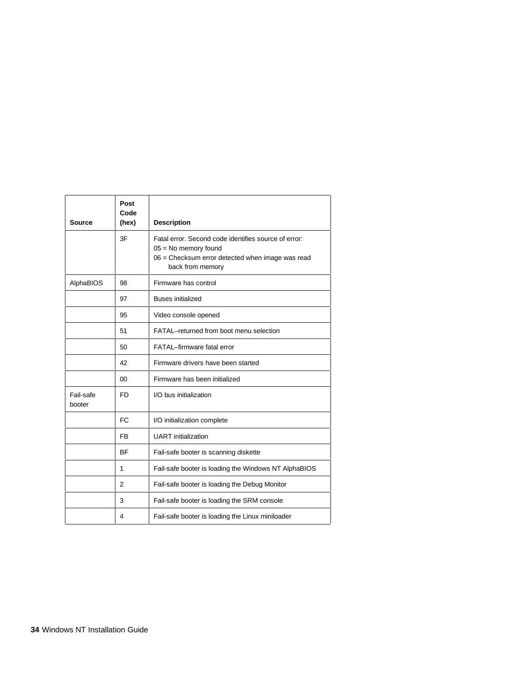|                     | Post<br>Code   |                                                                                                                                                        |
|---------------------|----------------|--------------------------------------------------------------------------------------------------------------------------------------------------------|
| Source              | (hex)          | <b>Description</b>                                                                                                                                     |
|                     | 3F             | Fatal error. Second code identifies source of error:<br>$05 = No$ memory found<br>06 = Checksum error detected when image was read<br>back from memory |
| AlphaBIOS           | 98             | Firmware has control                                                                                                                                   |
|                     | 97             | <b>Buses initialized</b>                                                                                                                               |
|                     | 95             | Video console opened                                                                                                                                   |
|                     | 51             | FATAL-returned from boot menu selection                                                                                                                |
|                     | 50             | FATAL-firmware fatal error                                                                                                                             |
|                     | 42             | Firmware drivers have been started                                                                                                                     |
|                     | 00             | Firmware has been initialized                                                                                                                          |
| Fail-safe<br>booter | <b>FD</b>      | I/O bus initialization                                                                                                                                 |
|                     | <b>FC</b>      | I/O initialization complete                                                                                                                            |
|                     | <b>FB</b>      | <b>UART</b> initialization                                                                                                                             |
|                     | <b>BF</b>      | Fail-safe booter is scanning diskette                                                                                                                  |
|                     | 1              | Fail-safe booter is loading the Windows NT AlphaBIOS                                                                                                   |
|                     | $\overline{2}$ | Fail-safe booter is loading the Debug Monitor                                                                                                          |
|                     | 3              | Fail-safe booter is loading the SRM console                                                                                                            |
|                     | 4              | Fail-safe booter is loading the Linux miniloader                                                                                                       |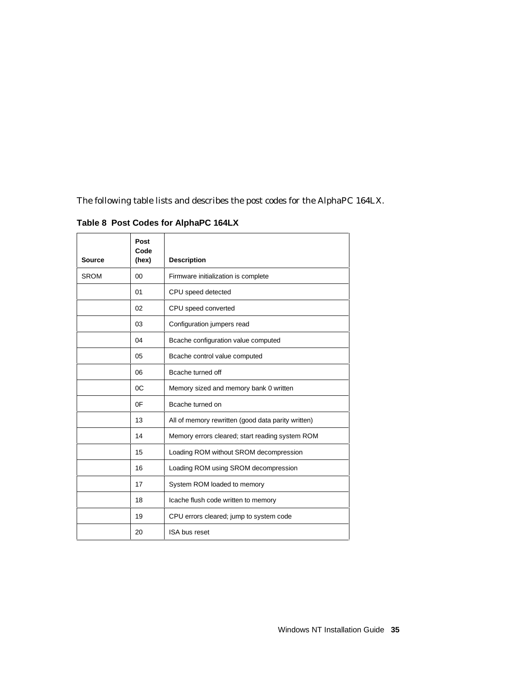The following table lists and describes the post codes for the AlphaPC 164LX.

| <b>Source</b> | Post<br>Code<br>(hex) | <b>Description</b>                                 |
|---------------|-----------------------|----------------------------------------------------|
| <b>SROM</b>   | 00                    | Firmware initialization is complete                |
|               | 01                    | CPU speed detected                                 |
|               | 02                    | CPU speed converted                                |
|               | 03                    | Configuration jumpers read                         |
|               | 04                    | Bcache configuration value computed                |
|               | 05                    | Bcache control value computed                      |
|               | 06                    | Bcache turned off                                  |
|               | OC                    | Memory sized and memory bank 0 written             |
|               | 0F                    | Bcache turned on                                   |
|               | 13                    | All of memory rewritten (good data parity written) |
|               | 14                    | Memory errors cleared; start reading system ROM    |
|               | 15                    | Loading ROM without SROM decompression             |
|               | 16                    | Loading ROM using SROM decompression               |
|               | 17                    | System ROM loaded to memory                        |
|               | 18                    | Icache flush code written to memory                |
|               | 19                    | CPU errors cleared; jump to system code            |
|               | 20                    | ISA bus reset                                      |

**Table 8 Post Codes for AlphaPC 164LX**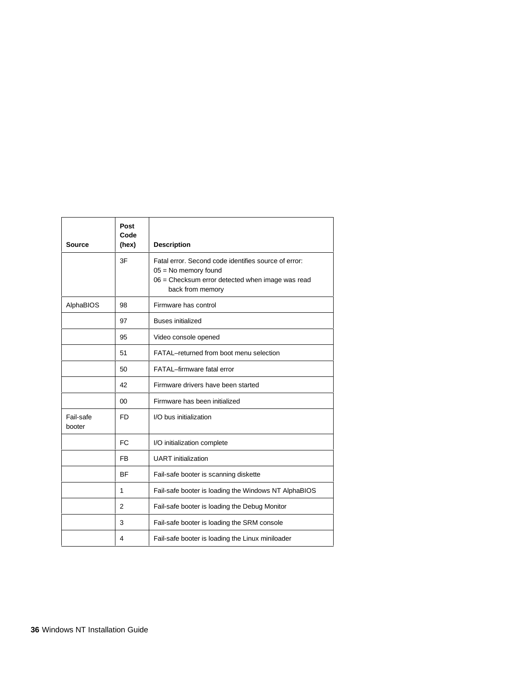| Source              | Post<br>Code<br>(hex) | <b>Description</b>                                                                                                                                     |
|---------------------|-----------------------|--------------------------------------------------------------------------------------------------------------------------------------------------------|
|                     | 3F                    | Fatal error. Second code identifies source of error:<br>$05 = No$ memory found<br>06 = Checksum error detected when image was read<br>back from memory |
| AlphaBIOS           | 98                    | Firmware has control                                                                                                                                   |
|                     | 97                    | <b>Buses initialized</b>                                                                                                                               |
|                     | 95                    | Video console opened                                                                                                                                   |
|                     | 51                    | FATAL-returned from boot menu selection                                                                                                                |
|                     | 50                    | FATAL-firmware fatal error                                                                                                                             |
|                     | 42                    | Firmware drivers have been started                                                                                                                     |
|                     | 00                    | Firmware has been initialized                                                                                                                          |
| Fail-safe<br>booter | FD.                   | I/O bus initialization                                                                                                                                 |
|                     | <b>FC</b>             | I/O initialization complete                                                                                                                            |
|                     | F <sub>B</sub>        | <b>UART</b> initialization                                                                                                                             |
|                     | <b>BF</b>             | Fail-safe booter is scanning diskette                                                                                                                  |
|                     | 1                     | Fail-safe booter is loading the Windows NT AlphaBIOS                                                                                                   |
|                     | $\overline{2}$        | Fail-safe booter is loading the Debug Monitor                                                                                                          |
|                     | 3                     | Fail-safe booter is loading the SRM console                                                                                                            |
|                     | 4                     | Fail-safe booter is loading the Linux miniloader                                                                                                       |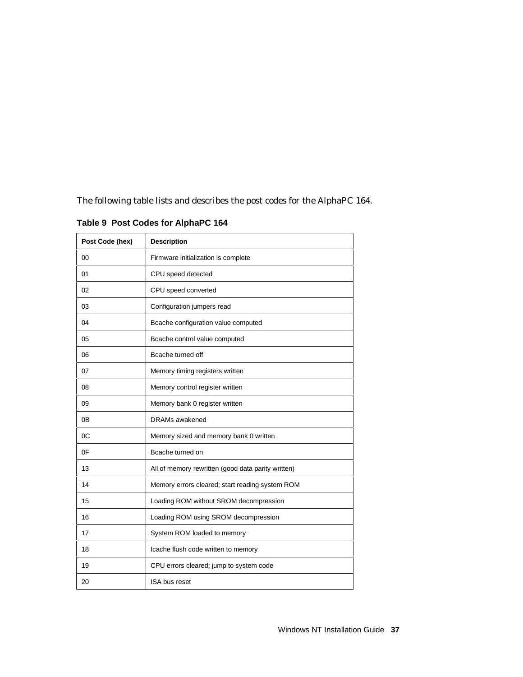The following table lists and describes the post codes for the AlphaPC 164.

| Post Code (hex) | <b>Description</b>                                 |
|-----------------|----------------------------------------------------|
| 00              | Firmware initialization is complete                |
| 01              | CPU speed detected                                 |
| 02              | CPU speed converted                                |
| 03              | Configuration jumpers read                         |
| 04              | Bcache configuration value computed                |
| 05              | Bcache control value computed                      |
| 06              | Bcache turned off                                  |
| 07              | Memory timing registers written                    |
| 08              | Memory control register written                    |
| 09              | Memory bank 0 register written                     |
| 0Β              | <b>DRAMs</b> awakened                              |
| 0C              | Memory sized and memory bank 0 written             |
| 0F              | Bcache turned on                                   |
| 13              | All of memory rewritten (good data parity written) |
| 14              | Memory errors cleared; start reading system ROM    |
| 15              | Loading ROM without SROM decompression             |
| 16              | Loading ROM using SROM decompression               |
| 17              | System ROM loaded to memory                        |
| 18              | Icache flush code written to memory                |
| 19              | CPU errors cleared; jump to system code            |
| 20              | <b>ISA bus reset</b>                               |

**Table 9 Post Codes for AlphaPC 164**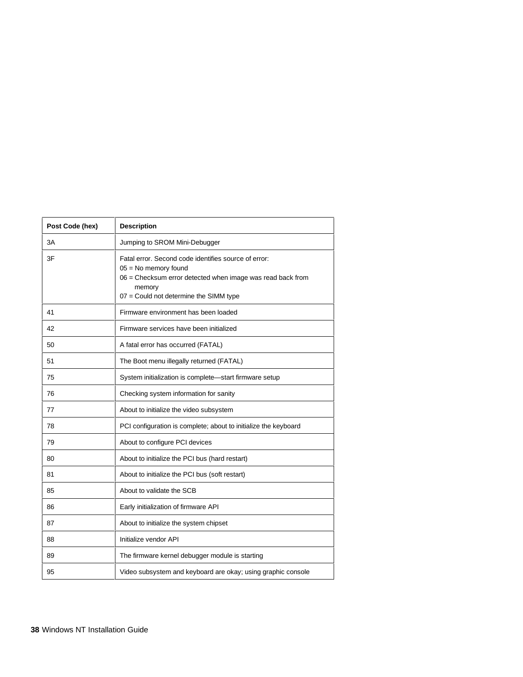| Post Code (hex) | <b>Description</b>                                                                                                                                                                               |
|-----------------|--------------------------------------------------------------------------------------------------------------------------------------------------------------------------------------------------|
| 3A              | Jumping to SROM Mini-Debugger                                                                                                                                                                    |
| 3F              | Fatal error. Second code identifies source of error:<br>$05 = No$ memory found<br>06 = Checksum error detected when image was read back from<br>memory<br>07 = Could not determine the SIMM type |
| 41              | Firmware environment has been loaded                                                                                                                                                             |
| 42              | Firmware services have been initialized                                                                                                                                                          |
| 50              | A fatal error has occurred (FATAL)                                                                                                                                                               |
| 51              | The Boot menu illegally returned (FATAL)                                                                                                                                                         |
| 75              | System initialization is complete-start firmware setup                                                                                                                                           |
| 76              | Checking system information for sanity                                                                                                                                                           |
| 77              | About to initialize the video subsystem                                                                                                                                                          |
| 78              | PCI configuration is complete; about to initialize the keyboard                                                                                                                                  |
| 79              | About to configure PCI devices                                                                                                                                                                   |
| 80              | About to initialize the PCI bus (hard restart)                                                                                                                                                   |
| 81              | About to initialize the PCI bus (soft restart)                                                                                                                                                   |
| 85              | About to validate the SCB                                                                                                                                                                        |
| 86              | Early initialization of firmware API                                                                                                                                                             |
| 87              | About to initialize the system chipset                                                                                                                                                           |
| 88              | Initialize vendor API                                                                                                                                                                            |
| 89              | The firmware kernel debugger module is starting                                                                                                                                                  |
| 95              | Video subsystem and keyboard are okay; using graphic console                                                                                                                                     |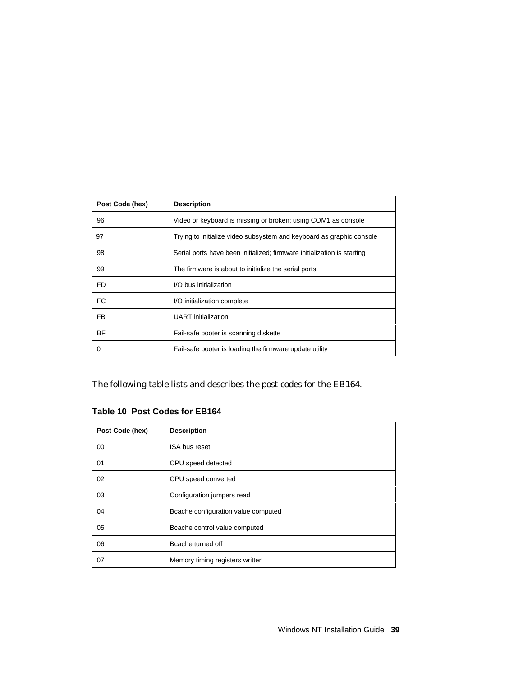| Post Code (hex) | <b>Description</b>                                                      |
|-----------------|-------------------------------------------------------------------------|
| 96              | Video or keyboard is missing or broken; using COM1 as console           |
| 97              | Trying to initialize video subsystem and keyboard as graphic console    |
| 98              | Serial ports have been initialized; firmware initialization is starting |
| 99              | The firmware is about to initialize the serial ports                    |
| FD.             | I/O bus initialization                                                  |
| FC.             | I/O initialization complete                                             |
| FB.             | <b>UART</b> initialization                                              |
| <b>BF</b>       | Fail-safe booter is scanning diskette                                   |
| O               | Fail-safe booter is loading the firmware update utility                 |

The following table lists and describes the post codes for the EB164.

**Table 10 Post Codes for EB164**

| Post Code (hex) | <b>Description</b>                  |
|-----------------|-------------------------------------|
| 00              | ISA bus reset                       |
| 01              | CPU speed detected                  |
| 02              | CPU speed converted                 |
| 03              | Configuration jumpers read          |
| 04              | Bcache configuration value computed |
| 05              | Bcache control value computed       |
| 06              | Bcache turned off                   |
| 07              | Memory timing registers written     |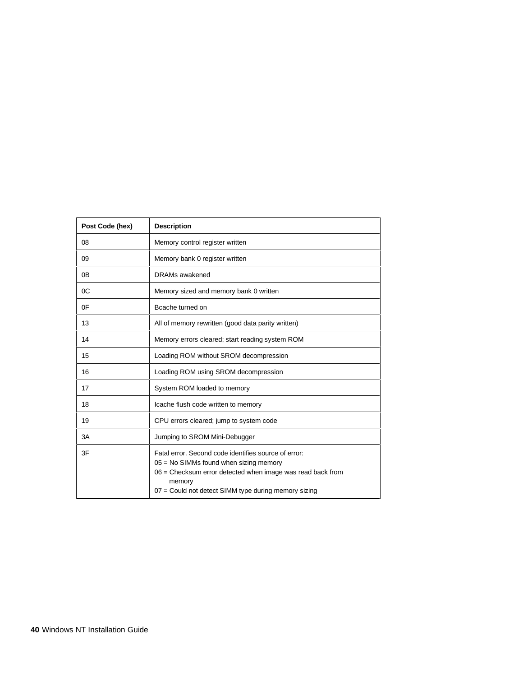| Post Code (hex) | <b>Description</b>                                                                                                                                                                                                               |
|-----------------|----------------------------------------------------------------------------------------------------------------------------------------------------------------------------------------------------------------------------------|
| 08              | Memory control register written                                                                                                                                                                                                  |
| 09              | Memory bank 0 register written                                                                                                                                                                                                   |
| 0 <sub>B</sub>  | DRAMs awakened                                                                                                                                                                                                                   |
| 0C              | Memory sized and memory bank 0 written                                                                                                                                                                                           |
| 0F              | Bcache turned on                                                                                                                                                                                                                 |
| 13              | All of memory rewritten (good data parity written)                                                                                                                                                                               |
| 14              | Memory errors cleared; start reading system ROM                                                                                                                                                                                  |
| 15              | Loading ROM without SROM decompression                                                                                                                                                                                           |
| 16              | Loading ROM using SROM decompression                                                                                                                                                                                             |
| 17              | System ROM loaded to memory                                                                                                                                                                                                      |
| 18              | Icache flush code written to memory                                                                                                                                                                                              |
| 19              | CPU errors cleared; jump to system code                                                                                                                                                                                          |
| 3A              | Jumping to SROM Mini-Debugger                                                                                                                                                                                                    |
| 3F              | Fatal error. Second code identifies source of error:<br>$05$ = No SIMMs found when sizing memory<br>06 = Checksum error detected when image was read back from<br>memory<br>07 = Could not detect SIMM type during memory sizing |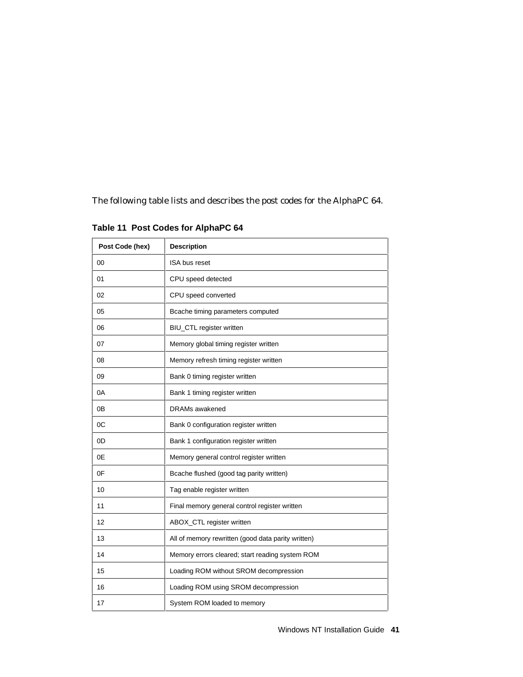The following table lists and describes the post codes for the AlphaPC 64.

| Post Code (hex) | <b>Description</b>                                 |
|-----------------|----------------------------------------------------|
| 00              | ISA bus reset                                      |
| 01              | CPU speed detected                                 |
| 02              | CPU speed converted                                |
| 05              | Bcache timing parameters computed                  |
| 06              | BIU_CTL register written                           |
| 07              | Memory global timing register written              |
| 08              | Memory refresh timing register written             |
| 09              | Bank 0 timing register written                     |
| 0A              | Bank 1 timing register written                     |
| 0Β              | DRAMs awakened                                     |
| 0C              | Bank 0 configuration register written              |
| 0D              | Bank 1 configuration register written              |
| 0E              | Memory general control register written            |
| 0F              | Bcache flushed (good tag parity written)           |
| 10              | Tag enable register written                        |
| 11              | Final memory general control register written      |
| 12              | ABOX_CTL register written                          |
| 13              | All of memory rewritten (good data parity written) |
| 14              | Memory errors cleared; start reading system ROM    |
| 15              | Loading ROM without SROM decompression             |
| 16              | Loading ROM using SROM decompression               |
| 17              | System ROM loaded to memory                        |

**Table 11 Post Codes for AlphaPC 64**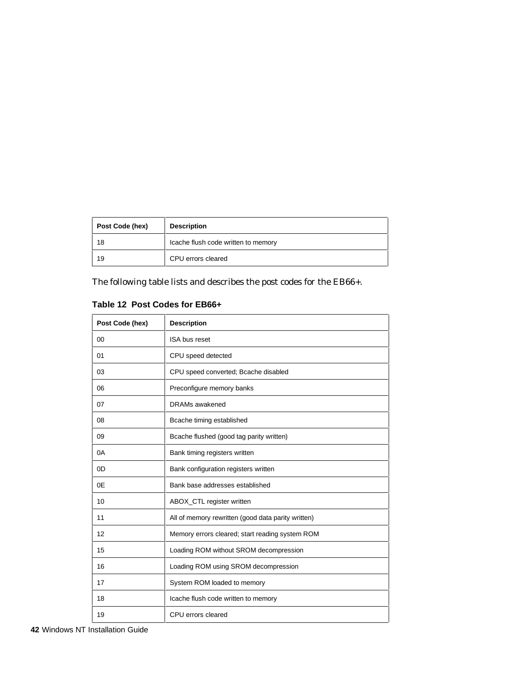| Post Code (hex) | <b>Description</b>                  |
|-----------------|-------------------------------------|
| 18              | Icache flush code written to memory |
| 19              | CPU errors cleared                  |

The following table lists and describes the post codes for the EB66+.

| Post Code (hex) | <b>Description</b>                                 |
|-----------------|----------------------------------------------------|
| 00              | ISA bus reset                                      |
| 01              | CPU speed detected                                 |
| 03              | CPU speed converted; Bcache disabled               |
| 06              | Preconfigure memory banks                          |
| 07              | <b>DRAMs</b> awakened                              |
| 08              | Bcache timing established                          |
| 09              | Bcache flushed (good tag parity written)           |
| 0A              | Bank timing registers written                      |
| 0D              | Bank configuration registers written               |
| 0E              | Bank base addresses established                    |
| 10              | ABOX_CTL register written                          |
| 11              | All of memory rewritten (good data parity written) |
| 12              | Memory errors cleared; start reading system ROM    |
| 15              | Loading ROM without SROM decompression             |
| 16              | Loading ROM using SROM decompression               |
| 17              | System ROM loaded to memory                        |
| 18              | Icache flush code written to memory                |
| 19              | CPU errors cleared                                 |

### **Table 12 Post Codes for EB66+**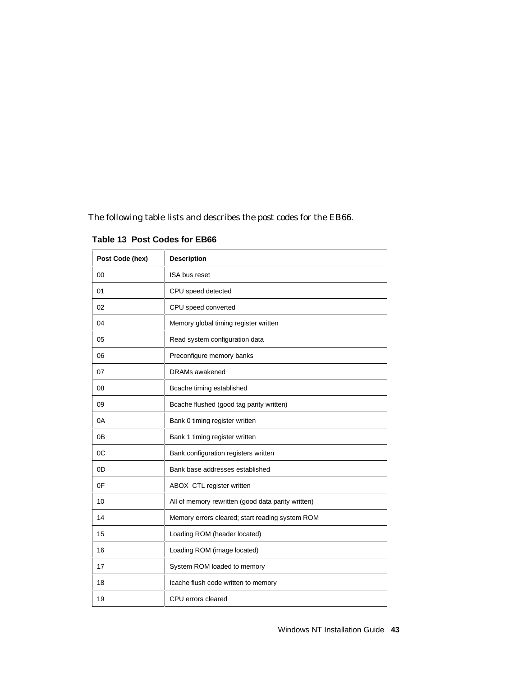The following table lists and describes the post codes for the EB66.

| Post Code (hex) | <b>Description</b>                                 |
|-----------------|----------------------------------------------------|
| 00              | ISA bus reset                                      |
| 01              | CPU speed detected                                 |
| 02              | CPU speed converted                                |
| 04              | Memory global timing register written              |
| 05              | Read system configuration data                     |
| 06              | Preconfigure memory banks                          |
| 07              | <b>DRAMs</b> awakened                              |
| 08              | Bcache timing established                          |
| 09              | Bcache flushed (good tag parity written)           |
| 0A              | Bank 0 timing register written                     |
| 0B              | Bank 1 timing register written                     |
| 0C              | Bank configuration registers written               |
| 0D              | Bank base addresses established                    |
| 0F              | ABOX_CTL register written                          |
| 10              | All of memory rewritten (good data parity written) |
| 14              | Memory errors cleared; start reading system ROM    |
| 15              | Loading ROM (header located)                       |
| 16              | Loading ROM (image located)                        |
| 17              | System ROM loaded to memory                        |
| 18              | Icache flush code written to memory                |
| 19              | CPU errors cleared                                 |

**Table 13 Post Codes for EB66**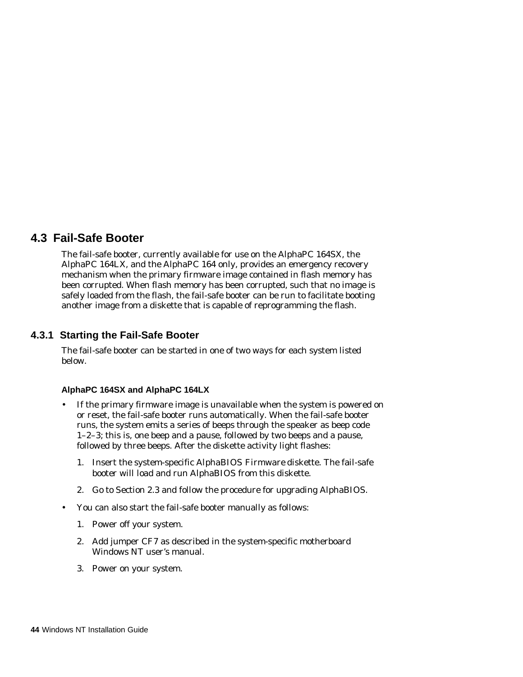# **4.3 Fail-Safe Booter**

The fail-safe booter, currently available for use on the AlphaPC 164SX, the AlphaPC 164LX, and the AlphaPC 164 only, provides an emergency recovery mechanism when the primary firmware image contained in flash memory has been corrupted. When flash memory has been corrupted, such that no image is safely loaded from the flash, the fail-safe booter can be run to facilitate booting another image from a diskette that is capable of reprogramming the flash.

## **4.3.1 Starting the Fail-Safe Booter**

The fail-safe booter can be started in one of two ways for each system listed below.

### **AlphaPC 164SX and AlphaPC 164LX**

- If the primary firmware image is unavailable when the system is powered on or reset, the fail-safe booter runs automatically. When the fail-safe booter runs, the system emits a series of beeps through the speaker as beep code 1–2–3; this is, one beep and a pause, followed by two beeps and a pause, followed by three beeps. After the diskette activity light flashes:
	- 1. Insert the system-specific *AlphaBIOS Firmware* diskette. The fail-safe booter will load and run AlphaBIOS from this diskette.
	- 2. Go to Section 2.3 and follow the procedure for upgrading AlphaBIOS.
- You can also start the fail-safe booter manually as follows:
	- 1. Power off your system.
	- 2. Add jumper CF7 as described in the system-specific motherboard Windows NT user's manual.
	- 3. Power on your system.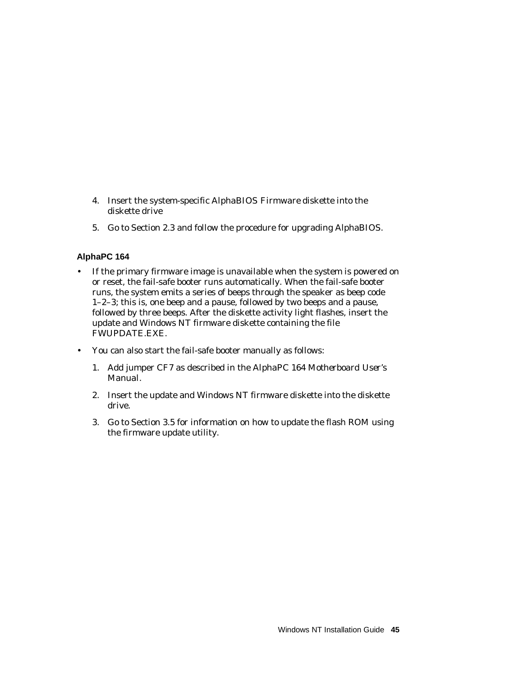- 4. Insert the system-specific *AlphaBIOS Firmware* diskette into the diskette drive
- 5. Go to Section 2.3 and follow the procedure for upgrading AlphaBIOS.

### **AlphaPC 164**

- If the primary firmware image is unavailable when the system is powered on or reset, the fail-safe booter runs automatically. When the fail-safe booter runs, the system emits a series of beeps through the speaker as beep code 1–2–3; this is, one beep and a pause, followed by two beeps and a pause, followed by three beeps. After the diskette activity light flashes, insert the update and Windows NT firmware diskette containing the file FWUPDATE.EXE.
- You can also start the fail-safe booter manually as follows:
	- 1. Add jumper CF7 as described in the *AlphaPC 164 Motherboard User's Manual*.
	- 2. Insert the update and Windows NT firmware diskette into the diskette drive.
	- 3. Go to Section 3.5 for information on how to update the flash ROM using the firmware update utility.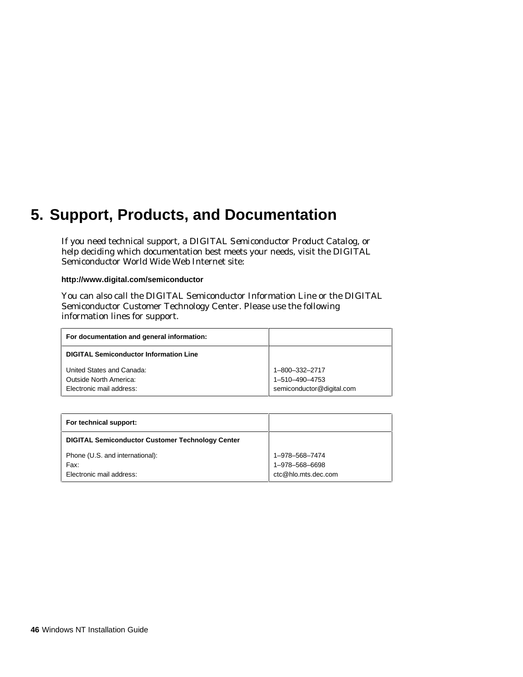# **5. Support, Products, and Documentation**

If you need technical support, a *DIGITAL Semiconductor Product Catalog*, or help deciding which documentation best meets your needs, visit the DIGITAL Semiconductor World Wide Web Internet site:

**http://www.digital.com/semiconductor**

You can also call the DIGITAL Semiconductor Information Line or the DIGITAL Semiconductor Customer Technology Center. Please use the following information lines for support.

| For documentation and general information:         |                                             |
|----------------------------------------------------|---------------------------------------------|
| <b>DIGITAL Semiconductor Information Line</b>      |                                             |
| United States and Canada:                          | 1-800-332-2717                              |
| Outside North America:<br>Electronic mail address: | 1-510-490-4753<br>semiconductor@digital.com |

| For technical support:                                  |                                       |
|---------------------------------------------------------|---------------------------------------|
| <b>DIGITAL Semiconductor Customer Technology Center</b> |                                       |
| Phone (U.S. and international):                         | 1-978-568-7474                        |
| Fax:<br>Electronic mail address:                        | 1-978-568-6698<br>ctc@hlo.mts.dec.com |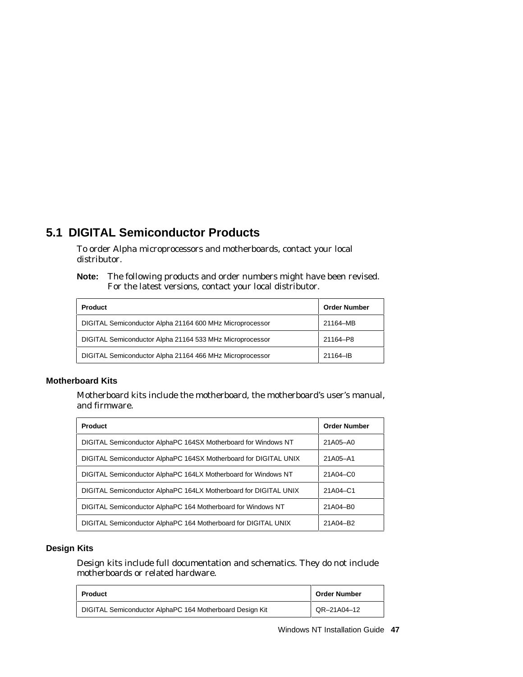# **5.1 DIGITAL Semiconductor Products**

To order Alpha microprocessors and motherboards, contact your local distributor.

**Note:** The following products and order numbers might have been revised. For the latest versions, contact your local distributor.

| <b>Product</b>                                           | <b>Order Number</b> |
|----------------------------------------------------------|---------------------|
| DIGITAL Semiconductor Alpha 21164 600 MHz Microprocessor | 21164-MB            |
| DIGITAL Semiconductor Alpha 21164 533 MHz Microprocessor | 21164-P8            |
| DIGITAL Semiconductor Alpha 21164 466 MHz Microprocessor | 21164-IB            |

#### **Motherboard Kits**

Motherboard kits include the motherboard, the motherboard's user's manual, and firmware.

| Product                                                          | <b>Order Number</b> |
|------------------------------------------------------------------|---------------------|
| DIGITAL Semiconductor AlphaPC 164SX Motherboard for Windows NT   | 21A05-A0            |
| DIGITAL Semiconductor AlphaPC 164SX Motherboard for DIGITAL UNIX | 21A05-A1            |
| DIGITAL Semiconductor AlphaPC 164LX Motherboard for Windows NT   | 21A04-C0            |
| DIGITAL Semiconductor AlphaPC 164LX Motherboard for DIGITAL UNIX | 21A04-C1            |
| DIGITAL Semiconductor AlphaPC 164 Motherboard for Windows NT     | 21A04-B0            |
| DIGITAL Semiconductor AlphaPC 164 Motherboard for DIGITAL UNIX   | 21A04-B2            |

### **Design Kits**

Design kits include full documentation and schematics. They do not include motherboards or related hardware.

| <b>Product</b>                                           | <b>Order Number</b> |
|----------------------------------------------------------|---------------------|
| DIGITAL Semiconductor AlphaPC 164 Motherboard Design Kit | QR-21A04-12         |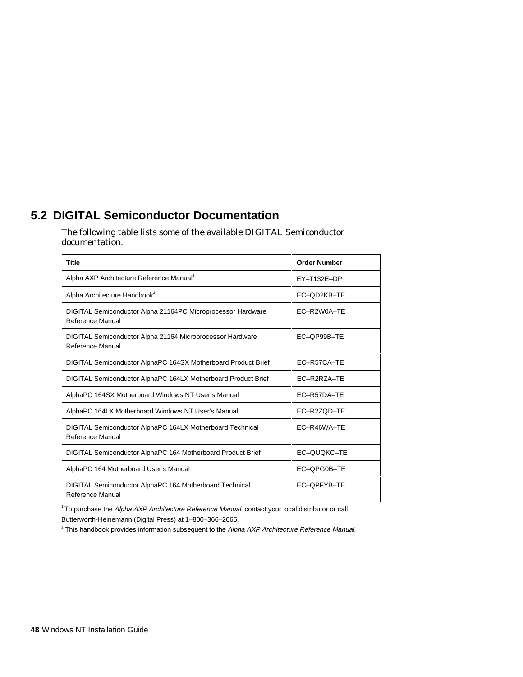# **5.2 DIGITAL Semiconductor Documentation**

The following table lists some of the available DIGITAL Semiconductor documentation.

| <b>Title</b>                                                                    | <b>Order Number</b> |
|---------------------------------------------------------------------------------|---------------------|
| Alpha AXP Architecture Reference Manual                                         | EY-T132E-DP         |
| Alpha Architecture Handbook <sup>2</sup>                                        | EC-OD2KB-TE         |
| DIGITAL Semiconductor Alpha 21164PC Microprocessor Hardware<br>Reference Manual | EC-R2W0A-TE         |
| DIGITAL Semiconductor Alpha 21164 Microprocessor Hardware<br>Reference Manual   | EC-OP99B-TE         |
| DIGITAL Semiconductor AlphaPC 164SX Motherboard Product Brief                   | EC-R57CA-TE         |
| DIGITAL Semiconductor AlphaPC 164LX Motherboard Product Brief                   | EC-R2RZA-TE         |
| AlphaPC 164SX Motherboard Windows NT User's Manual                              | EC-R57DA-TE         |
| AlphaPC 164LX Motherboard Windows NT User's Manual                              | EC-R2ZOD-TE         |
| DIGITAL Semiconductor AlphaPC 164LX Motherboard Technical<br>Reference Manual   | EC-R46WA-TE         |
| DIGITAL Semiconductor AlphaPC 164 Motherboard Product Brief                     | EC-QUOKC-TE         |
| AlphaPC 164 Motherboard User's Manual                                           | EC-QPG0B-TE         |
| DIGITAL Semiconductor AlphaPC 164 Motherboard Technical<br>Reference Manual     | EC-OPFYB-TE         |

<sup>1</sup> To purchase the Alpha AXP Architecture Reference Manual, contact your local distributor or call Butterworth-Heinemann (Digital Press) at 1–800–366–2665.

<sup>2</sup> This handbook provides information subsequent to the Alpha AXP Architecture Reference Manual.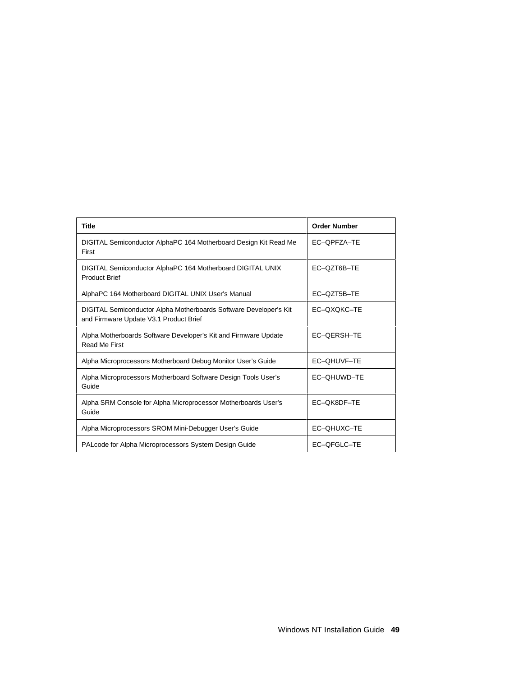| <b>Title</b>                                                                                                | <b>Order Number</b> |
|-------------------------------------------------------------------------------------------------------------|---------------------|
| DIGITAL Semiconductor AlphaPC 164 Motherboard Design Kit Read Me<br>First                                   | EC-OPFZA-TE         |
| DIGITAL Semiconductor AlphaPC 164 Motherboard DIGITAL UNIX<br><b>Product Brief</b>                          | EC-QZT6B-TE         |
| AlphaPC 164 Motherboard DIGITAL UNIX User's Manual                                                          | EC-QZT5B-TE         |
| DIGITAL Semiconductor Alpha Motherboards Software Developer's Kit<br>and Firmware Update V3.1 Product Brief | EC-OXOKC-TE         |
| Alpha Motherboards Software Developer's Kit and Firmware Update<br>Read Me First                            | EC-OERSH-TE         |
| Alpha Microprocessors Motherboard Debug Monitor User's Guide                                                | EC-QHUVF-TE         |
| Alpha Microprocessors Motherboard Software Design Tools User's<br>Guide                                     | EC-QHUWD-TE         |
| Alpha SRM Console for Alpha Microprocessor Motherboards User's<br>Guide                                     | EC-QK8DF-TE         |
| Alpha Microprocessors SROM Mini-Debugger User's Guide                                                       | EC-OHUXC-TE         |
| PALcode for Alpha Microprocessors System Design Guide                                                       | EC-QFGLC-TE         |